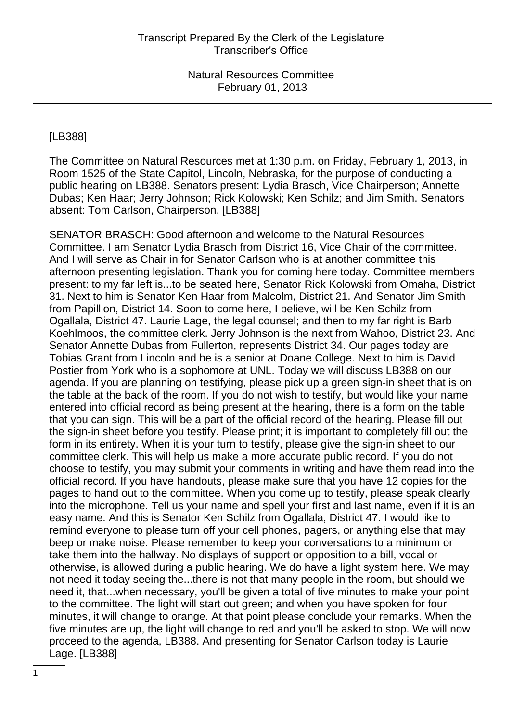# [LB388]

The Committee on Natural Resources met at 1:30 p.m. on Friday, February 1, 2013, in Room 1525 of the State Capitol, Lincoln, Nebraska, for the purpose of conducting a public hearing on LB388. Senators present: Lydia Brasch, Vice Chairperson; Annette Dubas; Ken Haar; Jerry Johnson; Rick Kolowski; Ken Schilz; and Jim Smith. Senators absent: Tom Carlson, Chairperson. [LB388]

SENATOR BRASCH: Good afternoon and welcome to the Natural Resources Committee. I am Senator Lydia Brasch from District 16, Vice Chair of the committee. And I will serve as Chair in for Senator Carlson who is at another committee this afternoon presenting legislation. Thank you for coming here today. Committee members present: to my far left is...to be seated here, Senator Rick Kolowski from Omaha, District 31. Next to him is Senator Ken Haar from Malcolm, District 21. And Senator Jim Smith from Papillion, District 14. Soon to come here, I believe, will be Ken Schilz from Ogallala, District 47. Laurie Lage, the legal counsel; and then to my far right is Barb Koehlmoos, the committee clerk. Jerry Johnson is the next from Wahoo, District 23. And Senator Annette Dubas from Fullerton, represents District 34. Our pages today are Tobias Grant from Lincoln and he is a senior at Doane College. Next to him is David Postier from York who is a sophomore at UNL. Today we will discuss LB388 on our agenda. If you are planning on testifying, please pick up a green sign-in sheet that is on the table at the back of the room. If you do not wish to testify, but would like your name entered into official record as being present at the hearing, there is a form on the table that you can sign. This will be a part of the official record of the hearing. Please fill out the sign-in sheet before you testify. Please print; it is important to completely fill out the form in its entirety. When it is your turn to testify, please give the sign-in sheet to our committee clerk. This will help us make a more accurate public record. If you do not choose to testify, you may submit your comments in writing and have them read into the official record. If you have handouts, please make sure that you have 12 copies for the pages to hand out to the committee. When you come up to testify, please speak clearly into the microphone. Tell us your name and spell your first and last name, even if it is an easy name. And this is Senator Ken Schilz from Ogallala, District 47. I would like to remind everyone to please turn off your cell phones, pagers, or anything else that may beep or make noise. Please remember to keep your conversations to a minimum or take them into the hallway. No displays of support or opposition to a bill, vocal or otherwise, is allowed during a public hearing. We do have a light system here. We may not need it today seeing the...there is not that many people in the room, but should we need it, that...when necessary, you'll be given a total of five minutes to make your point to the committee. The light will start out green; and when you have spoken for four minutes, it will change to orange. At that point please conclude your remarks. When the five minutes are up, the light will change to red and you'll be asked to stop. We will now proceed to the agenda, LB388. And presenting for Senator Carlson today is Laurie Lage. [LB388]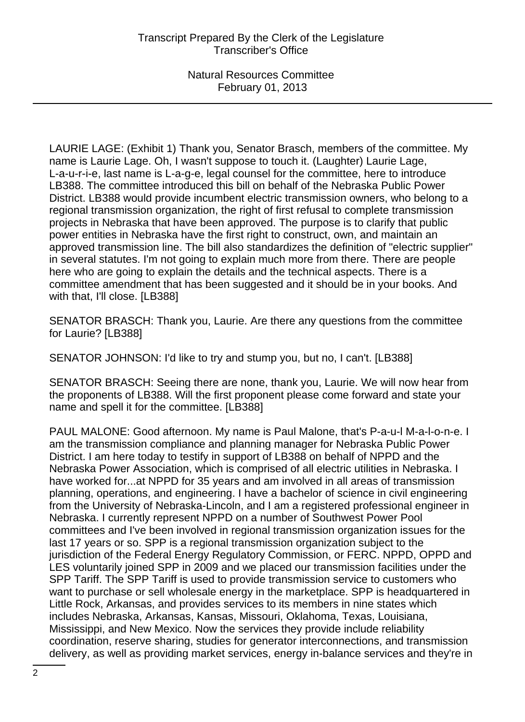LAURIE LAGE: (Exhibit 1) Thank you, Senator Brasch, members of the committee. My name is Laurie Lage. Oh, I wasn't suppose to touch it. (Laughter) Laurie Lage, L-a-u-r-i-e, last name is L-a-g-e, legal counsel for the committee, here to introduce LB388. The committee introduced this bill on behalf of the Nebraska Public Power District. LB388 would provide incumbent electric transmission owners, who belong to a regional transmission organization, the right of first refusal to complete transmission projects in Nebraska that have been approved. The purpose is to clarify that public power entities in Nebraska have the first right to construct, own, and maintain an approved transmission line. The bill also standardizes the definition of "electric supplier" in several statutes. I'm not going to explain much more from there. There are people here who are going to explain the details and the technical aspects. There is a committee amendment that has been suggested and it should be in your books. And with that, I'll close. [LB388]

SENATOR BRASCH: Thank you, Laurie. Are there any questions from the committee for Laurie? [LB388]

SENATOR JOHNSON: I'd like to try and stump you, but no, I can't. [LB388]

SENATOR BRASCH: Seeing there are none, thank you, Laurie. We will now hear from the proponents of LB388. Will the first proponent please come forward and state your name and spell it for the committee. [LB388]

PAUL MALONE: Good afternoon. My name is Paul Malone, that's P-a-u-l M-a-l-o-n-e. I am the transmission compliance and planning manager for Nebraska Public Power District. I am here today to testify in support of LB388 on behalf of NPPD and the Nebraska Power Association, which is comprised of all electric utilities in Nebraska. I have worked for...at NPPD for 35 years and am involved in all areas of transmission planning, operations, and engineering. I have a bachelor of science in civil engineering from the University of Nebraska-Lincoln, and I am a registered professional engineer in Nebraska. I currently represent NPPD on a number of Southwest Power Pool committees and I've been involved in regional transmission organization issues for the last 17 years or so. SPP is a regional transmission organization subject to the jurisdiction of the Federal Energy Regulatory Commission, or FERC. NPPD, OPPD and LES voluntarily joined SPP in 2009 and we placed our transmission facilities under the SPP Tariff. The SPP Tariff is used to provide transmission service to customers who want to purchase or sell wholesale energy in the marketplace. SPP is headquartered in Little Rock, Arkansas, and provides services to its members in nine states which includes Nebraska, Arkansas, Kansas, Missouri, Oklahoma, Texas, Louisiana, Mississippi, and New Mexico. Now the services they provide include reliability coordination, reserve sharing, studies for generator interconnections, and transmission delivery, as well as providing market services, energy in-balance services and they're in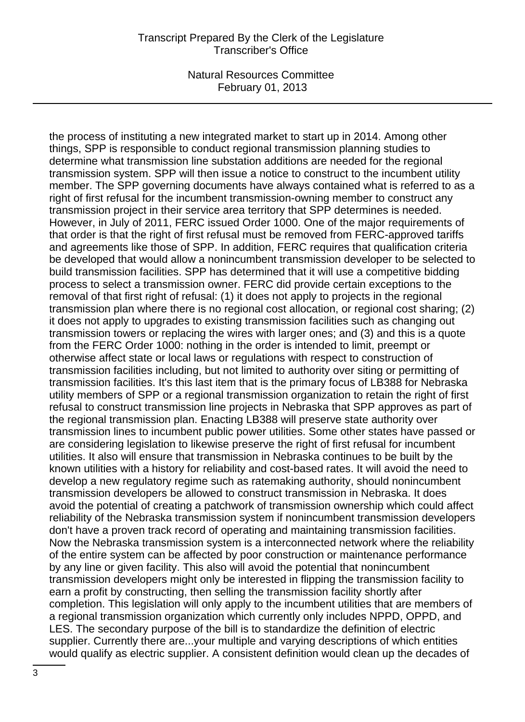#### Transcript Prepared By the Clerk of the Legislature Transcriber's Office

Natural Resources Committee February 01, 2013

the process of instituting a new integrated market to start up in 2014. Among other things, SPP is responsible to conduct regional transmission planning studies to determine what transmission line substation additions are needed for the regional transmission system. SPP will then issue a notice to construct to the incumbent utility member. The SPP governing documents have always contained what is referred to as a right of first refusal for the incumbent transmission-owning member to construct any transmission project in their service area territory that SPP determines is needed. However, in July of 2011, FERC issued Order 1000. One of the major requirements of that order is that the right of first refusal must be removed from FERC-approved tariffs and agreements like those of SPP. In addition, FERC requires that qualification criteria be developed that would allow a nonincumbent transmission developer to be selected to build transmission facilities. SPP has determined that it will use a competitive bidding process to select a transmission owner. FERC did provide certain exceptions to the removal of that first right of refusal: (1) it does not apply to projects in the regional transmission plan where there is no regional cost allocation, or regional cost sharing; (2) it does not apply to upgrades to existing transmission facilities such as changing out transmission towers or replacing the wires with larger ones; and (3) and this is a quote from the FERC Order 1000: nothing in the order is intended to limit, preempt or otherwise affect state or local laws or regulations with respect to construction of transmission facilities including, but not limited to authority over siting or permitting of transmission facilities. It's this last item that is the primary focus of LB388 for Nebraska utility members of SPP or a regional transmission organization to retain the right of first refusal to construct transmission line projects in Nebraska that SPP approves as part of the regional transmission plan. Enacting LB388 will preserve state authority over transmission lines to incumbent public power utilities. Some other states have passed or are considering legislation to likewise preserve the right of first refusal for incumbent utilities. It also will ensure that transmission in Nebraska continues to be built by the known utilities with a history for reliability and cost-based rates. It will avoid the need to develop a new regulatory regime such as ratemaking authority, should nonincumbent transmission developers be allowed to construct transmission in Nebraska. It does avoid the potential of creating a patchwork of transmission ownership which could affect reliability of the Nebraska transmission system if nonincumbent transmission developers don't have a proven track record of operating and maintaining transmission facilities. Now the Nebraska transmission system is a interconnected network where the reliability of the entire system can be affected by poor construction or maintenance performance by any line or given facility. This also will avoid the potential that nonincumbent transmission developers might only be interested in flipping the transmission facility to earn a profit by constructing, then selling the transmission facility shortly after completion. This legislation will only apply to the incumbent utilities that are members of a regional transmission organization which currently only includes NPPD, OPPD, and LES. The secondary purpose of the bill is to standardize the definition of electric supplier. Currently there are...your multiple and varying descriptions of which entities would qualify as electric supplier. A consistent definition would clean up the decades of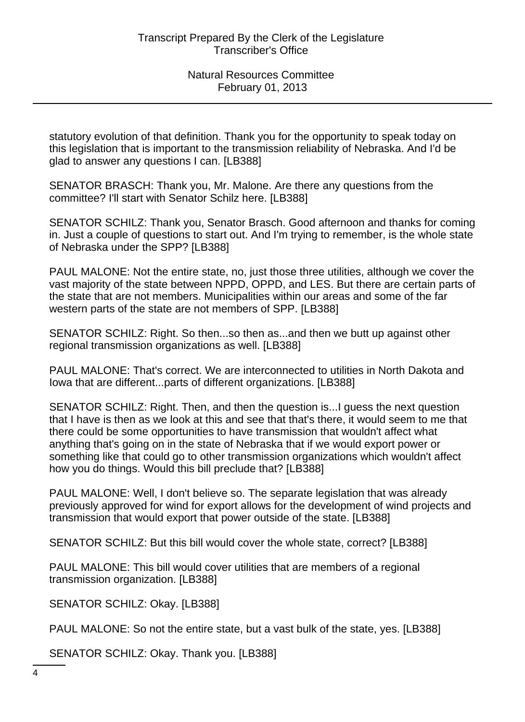statutory evolution of that definition. Thank you for the opportunity to speak today on this legislation that is important to the transmission reliability of Nebraska. And I'd be glad to answer any questions I can. [LB388]

SENATOR BRASCH: Thank you, Mr. Malone. Are there any questions from the committee? I'll start with Senator Schilz here. [LB388]

SENATOR SCHILZ: Thank you, Senator Brasch. Good afternoon and thanks for coming in. Just a couple of questions to start out. And I'm trying to remember, is the whole state of Nebraska under the SPP? [LB388]

PAUL MALONE: Not the entire state, no, just those three utilities, although we cover the vast majority of the state between NPPD, OPPD, and LES. But there are certain parts of the state that are not members. Municipalities within our areas and some of the far western parts of the state are not members of SPP. [LB388]

SENATOR SCHILZ: Right. So then...so then as...and then we butt up against other regional transmission organizations as well. [LB388]

PAUL MALONE: That's correct. We are interconnected to utilities in North Dakota and Iowa that are different...parts of different organizations. [LB388]

SENATOR SCHILZ: Right. Then, and then the question is...I guess the next question that I have is then as we look at this and see that that's there, it would seem to me that there could be some opportunities to have transmission that wouldn't affect what anything that's going on in the state of Nebraska that if we would export power or something like that could go to other transmission organizations which wouldn't affect how you do things. Would this bill preclude that? [LB388]

PAUL MALONE: Well, I don't believe so. The separate legislation that was already previously approved for wind for export allows for the development of wind projects and transmission that would export that power outside of the state. [LB388]

SENATOR SCHILZ: But this bill would cover the whole state, correct? [LB388]

PAUL MALONE: This bill would cover utilities that are members of a regional transmission organization. [LB388]

SENATOR SCHILZ: Okay. [LB388]

PAUL MALONE: So not the entire state, but a vast bulk of the state, yes. [LB388]

SENATOR SCHILZ: Okay. Thank you. [LB388]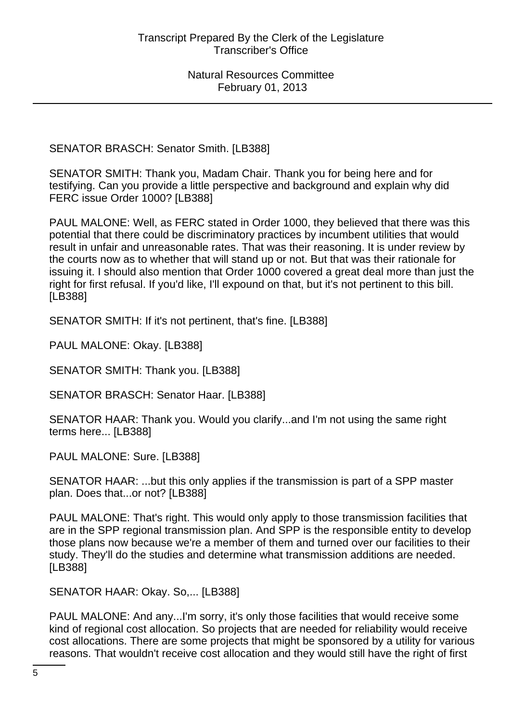SENATOR BRASCH: Senator Smith. [LB388]

SENATOR SMITH: Thank you, Madam Chair. Thank you for being here and for testifying. Can you provide a little perspective and background and explain why did FERC issue Order 1000? [LB388]

PAUL MALONE: Well, as FERC stated in Order 1000, they believed that there was this potential that there could be discriminatory practices by incumbent utilities that would result in unfair and unreasonable rates. That was their reasoning. It is under review by the courts now as to whether that will stand up or not. But that was their rationale for issuing it. I should also mention that Order 1000 covered a great deal more than just the right for first refusal. If you'd like, I'll expound on that, but it's not pertinent to this bill. [LB388]

SENATOR SMITH: If it's not pertinent, that's fine. [LB388]

PAUL MALONE: Okay. [LB388]

SENATOR SMITH: Thank you. [LB388]

SENATOR BRASCH: Senator Haar. [LB388]

SENATOR HAAR: Thank you. Would you clarify...and I'm not using the same right terms here... [LB388]

PAUL MALONE: Sure. [LB388]

SENATOR HAAR: ...but this only applies if the transmission is part of a SPP master plan. Does that...or not? [LB388]

PAUL MALONE: That's right. This would only apply to those transmission facilities that are in the SPP regional transmission plan. And SPP is the responsible entity to develop those plans now because we're a member of them and turned over our facilities to their study. They'll do the studies and determine what transmission additions are needed. [LB388]

SENATOR HAAR: Okay. So,... [LB388]

PAUL MALONE: And any...I'm sorry, it's only those facilities that would receive some kind of regional cost allocation. So projects that are needed for reliability would receive cost allocations. There are some projects that might be sponsored by a utility for various reasons. That wouldn't receive cost allocation and they would still have the right of first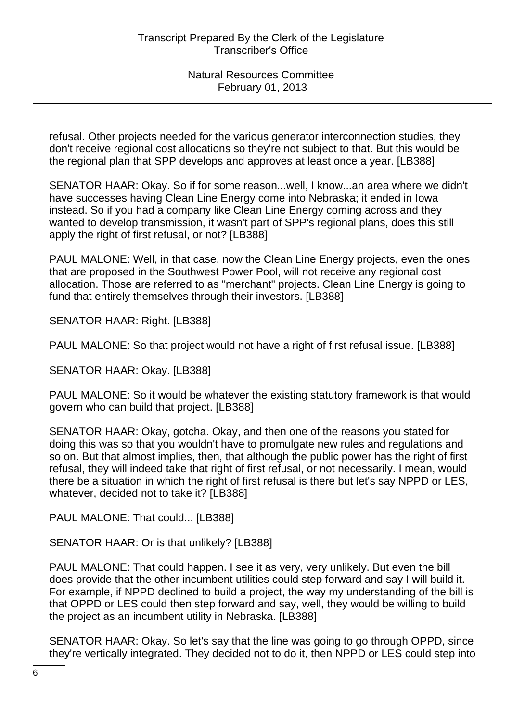refusal. Other projects needed for the various generator interconnection studies, they don't receive regional cost allocations so they're not subject to that. But this would be the regional plan that SPP develops and approves at least once a year. [LB388]

SENATOR HAAR: Okay. So if for some reason...well, I know...an area where we didn't have successes having Clean Line Energy come into Nebraska; it ended in Iowa instead. So if you had a company like Clean Line Energy coming across and they wanted to develop transmission, it wasn't part of SPP's regional plans, does this still apply the right of first refusal, or not? [LB388]

PAUL MALONE: Well, in that case, now the Clean Line Energy projects, even the ones that are proposed in the Southwest Power Pool, will not receive any regional cost allocation. Those are referred to as "merchant" projects. Clean Line Energy is going to fund that entirely themselves through their investors. [LB388]

SENATOR HAAR: Right. [LB388]

PAUL MALONE: So that project would not have a right of first refusal issue. [LB388]

SENATOR HAAR: Okay. [LB388]

PAUL MALONE: So it would be whatever the existing statutory framework is that would govern who can build that project. [LB388]

SENATOR HAAR: Okay, gotcha. Okay, and then one of the reasons you stated for doing this was so that you wouldn't have to promulgate new rules and regulations and so on. But that almost implies, then, that although the public power has the right of first refusal, they will indeed take that right of first refusal, or not necessarily. I mean, would there be a situation in which the right of first refusal is there but let's say NPPD or LES, whatever, decided not to take it? [LB388]

PAUL MALONE: That could... [LB388]

SENATOR HAAR: Or is that unlikely? [LB388]

PAUL MALONE: That could happen. I see it as very, very unlikely. But even the bill does provide that the other incumbent utilities could step forward and say I will build it. For example, if NPPD declined to build a project, the way my understanding of the bill is that OPPD or LES could then step forward and say, well, they would be willing to build the project as an incumbent utility in Nebraska. [LB388]

SENATOR HAAR: Okay. So let's say that the line was going to go through OPPD, since they're vertically integrated. They decided not to do it, then NPPD or LES could step into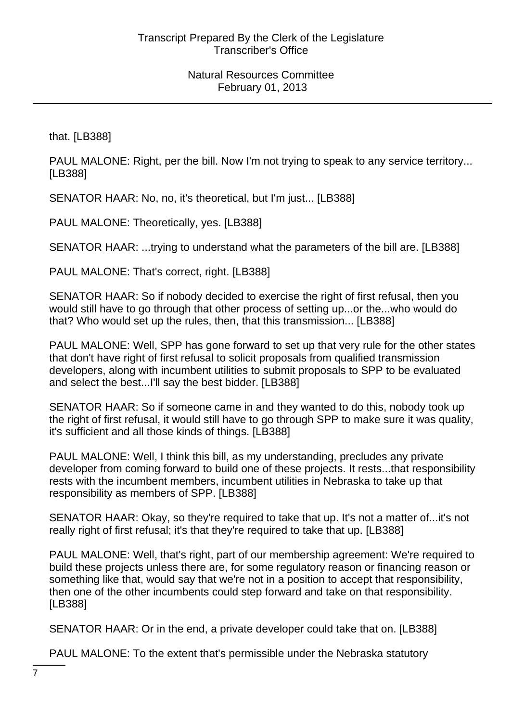that. [LB388]

PAUL MALONE: Right, per the bill. Now I'm not trying to speak to any service territory... [LB388]

SENATOR HAAR: No, no, it's theoretical, but I'm just... [LB388]

PAUL MALONE: Theoretically, yes. [LB388]

SENATOR HAAR: ...trying to understand what the parameters of the bill are. [LB388]

PAUL MALONE: That's correct, right. [LB388]

SENATOR HAAR: So if nobody decided to exercise the right of first refusal, then you would still have to go through that other process of setting up...or the...who would do that? Who would set up the rules, then, that this transmission... [LB388]

PAUL MALONE: Well, SPP has gone forward to set up that very rule for the other states that don't have right of first refusal to solicit proposals from qualified transmission developers, along with incumbent utilities to submit proposals to SPP to be evaluated and select the best...I'll say the best bidder. [LB388]

SENATOR HAAR: So if someone came in and they wanted to do this, nobody took up the right of first refusal, it would still have to go through SPP to make sure it was quality, it's sufficient and all those kinds of things. [LB388]

PAUL MALONE: Well, I think this bill, as my understanding, precludes any private developer from coming forward to build one of these projects. It rests...that responsibility rests with the incumbent members, incumbent utilities in Nebraska to take up that responsibility as members of SPP. [LB388]

SENATOR HAAR: Okay, so they're required to take that up. It's not a matter of...it's not really right of first refusal; it's that they're required to take that up. [LB388]

PAUL MALONE: Well, that's right, part of our membership agreement: We're required to build these projects unless there are, for some regulatory reason or financing reason or something like that, would say that we're not in a position to accept that responsibility, then one of the other incumbents could step forward and take on that responsibility. [LB388]

SENATOR HAAR: Or in the end, a private developer could take that on. [LB388]

PAUL MALONE: To the extent that's permissible under the Nebraska statutory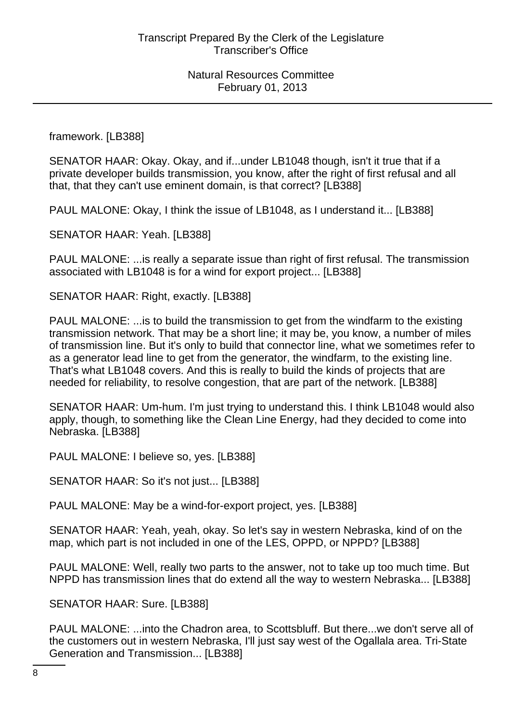framework. [LB388]

SENATOR HAAR: Okay. Okay, and if...under LB1048 though, isn't it true that if a private developer builds transmission, you know, after the right of first refusal and all that, that they can't use eminent domain, is that correct? [LB388]

PAUL MALONE: Okay, I think the issue of LB1048, as I understand it... [LB388]

SENATOR HAAR: Yeah. [LB388]

PAUL MALONE: ...is really a separate issue than right of first refusal. The transmission associated with LB1048 is for a wind for export project... [LB388]

SENATOR HAAR: Right, exactly. [LB388]

PAUL MALONE: ...is to build the transmission to get from the windfarm to the existing transmission network. That may be a short line; it may be, you know, a number of miles of transmission line. But it's only to build that connector line, what we sometimes refer to as a generator lead line to get from the generator, the windfarm, to the existing line. That's what LB1048 covers. And this is really to build the kinds of projects that are needed for reliability, to resolve congestion, that are part of the network. [LB388]

SENATOR HAAR: Um-hum. I'm just trying to understand this. I think LB1048 would also apply, though, to something like the Clean Line Energy, had they decided to come into Nebraska. [LB388]

PAUL MALONE: I believe so, yes. [LB388]

SENATOR HAAR: So it's not just... [LB388]

PAUL MALONE: May be a wind-for-export project, yes. [LB388]

SENATOR HAAR: Yeah, yeah, okay. So let's say in western Nebraska, kind of on the map, which part is not included in one of the LES, OPPD, or NPPD? [LB388]

PAUL MALONE: Well, really two parts to the answer, not to take up too much time. But NPPD has transmission lines that do extend all the way to western Nebraska... [LB388]

SENATOR HAAR: Sure. [LB388]

PAUL MALONE: ...into the Chadron area, to Scottsbluff. But there...we don't serve all of the customers out in western Nebraska, I'll just say west of the Ogallala area. Tri-State Generation and Transmission... [LB388]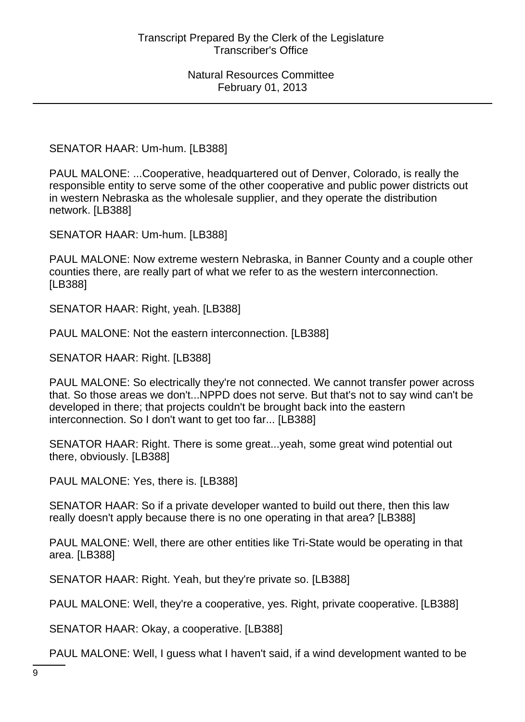SENATOR HAAR: Um-hum. [LB388]

PAUL MALONE: ...Cooperative, headquartered out of Denver, Colorado, is really the responsible entity to serve some of the other cooperative and public power districts out in western Nebraska as the wholesale supplier, and they operate the distribution network. [LB388]

SENATOR HAAR: Um-hum. [LB388]

PAUL MALONE: Now extreme western Nebraska, in Banner County and a couple other counties there, are really part of what we refer to as the western interconnection. [LB388]

SENATOR HAAR: Right, yeah. [LB388]

PAUL MALONE: Not the eastern interconnection. [LB388]

SENATOR HAAR: Right. [LB388]

PAUL MALONE: So electrically they're not connected. We cannot transfer power across that. So those areas we don't...NPPD does not serve. But that's not to say wind can't be developed in there; that projects couldn't be brought back into the eastern interconnection. So I don't want to get too far... [LB388]

SENATOR HAAR: Right. There is some great...yeah, some great wind potential out there, obviously. [LB388]

PAUL MALONE: Yes, there is. [LB388]

SENATOR HAAR: So if a private developer wanted to build out there, then this law really doesn't apply because there is no one operating in that area? [LB388]

PAUL MALONE: Well, there are other entities like Tri-State would be operating in that area. [LB388]

SENATOR HAAR: Right. Yeah, but they're private so. [LB388]

PAUL MALONE: Well, they're a cooperative, yes. Right, private cooperative. [LB388]

SENATOR HAAR: Okay, a cooperative. [LB388]

PAUL MALONE: Well, I guess what I haven't said, if a wind development wanted to be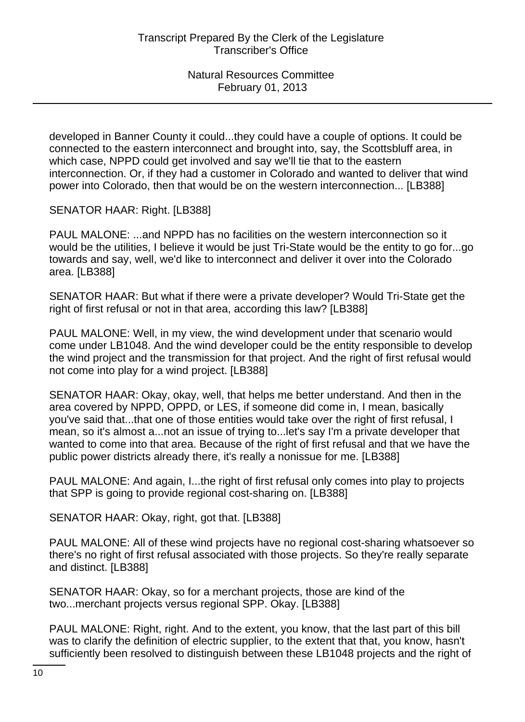developed in Banner County it could...they could have a couple of options. It could be connected to the eastern interconnect and brought into, say, the Scottsbluff area, in which case, NPPD could get involved and say we'll tie that to the eastern interconnection. Or, if they had a customer in Colorado and wanted to deliver that wind power into Colorado, then that would be on the western interconnection... [LB388]

SENATOR HAAR: Right. [LB388]

PAUL MALONE: ...and NPPD has no facilities on the western interconnection so it would be the utilities, I believe it would be just Tri-State would be the entity to go for...go towards and say, well, we'd like to interconnect and deliver it over into the Colorado area. [LB388]

SENATOR HAAR: But what if there were a private developer? Would Tri-State get the right of first refusal or not in that area, according this law? [LB388]

PAUL MALONE: Well, in my view, the wind development under that scenario would come under LB1048. And the wind developer could be the entity responsible to develop the wind project and the transmission for that project. And the right of first refusal would not come into play for a wind project. [LB388]

SENATOR HAAR: Okay, okay, well, that helps me better understand. And then in the area covered by NPPD, OPPD, or LES, if someone did come in, I mean, basically you've said that...that one of those entities would take over the right of first refusal, I mean, so it's almost a...not an issue of trying to...let's say I'm a private developer that wanted to come into that area. Because of the right of first refusal and that we have the public power districts already there, it's really a nonissue for me. [LB388]

PAUL MALONE: And again, I...the right of first refusal only comes into play to projects that SPP is going to provide regional cost-sharing on. [LB388]

SENATOR HAAR: Okay, right, got that. [LB388]

PAUL MALONE: All of these wind projects have no regional cost-sharing whatsoever so there's no right of first refusal associated with those projects. So they're really separate and distinct. [LB388]

SENATOR HAAR: Okay, so for a merchant projects, those are kind of the two...merchant projects versus regional SPP. Okay. [LB388]

PAUL MALONE: Right, right. And to the extent, you know, that the last part of this bill was to clarify the definition of electric supplier, to the extent that that, you know, hasn't sufficiently been resolved to distinguish between these LB1048 projects and the right of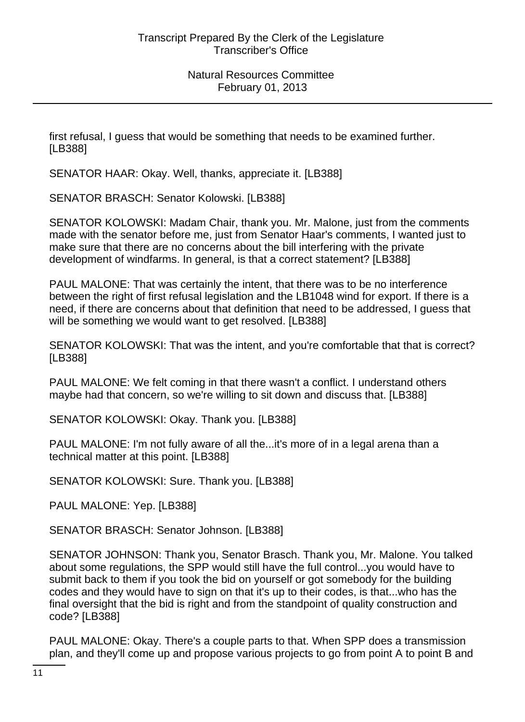first refusal, I guess that would be something that needs to be examined further. [LB388]

SENATOR HAAR: Okay. Well, thanks, appreciate it. [LB388]

SENATOR BRASCH: Senator Kolowski. [LB388]

SENATOR KOLOWSKI: Madam Chair, thank you. Mr. Malone, just from the comments made with the senator before me, just from Senator Haar's comments, I wanted just to make sure that there are no concerns about the bill interfering with the private development of windfarms. In general, is that a correct statement? [LB388]

PAUL MALONE: That was certainly the intent, that there was to be no interference between the right of first refusal legislation and the LB1048 wind for export. If there is a need, if there are concerns about that definition that need to be addressed, I guess that will be something we would want to get resolved. [LB388]

SENATOR KOLOWSKI: That was the intent, and you're comfortable that that is correct? [LB388]

PAUL MALONE: We felt coming in that there wasn't a conflict. I understand others maybe had that concern, so we're willing to sit down and discuss that. [LB388]

SENATOR KOLOWSKI: Okay. Thank you. [LB388]

PAUL MALONE: I'm not fully aware of all the...it's more of in a legal arena than a technical matter at this point. [LB388]

SENATOR KOLOWSKI: Sure. Thank you. [LB388]

PAUL MALONE: Yep. [LB388]

SENATOR BRASCH: Senator Johnson. [LB388]

SENATOR JOHNSON: Thank you, Senator Brasch. Thank you, Mr. Malone. You talked about some regulations, the SPP would still have the full control...you would have to submit back to them if you took the bid on yourself or got somebody for the building codes and they would have to sign on that it's up to their codes, is that...who has the final oversight that the bid is right and from the standpoint of quality construction and code? [LB388]

PAUL MALONE: Okay. There's a couple parts to that. When SPP does a transmission plan, and they'll come up and propose various projects to go from point A to point B and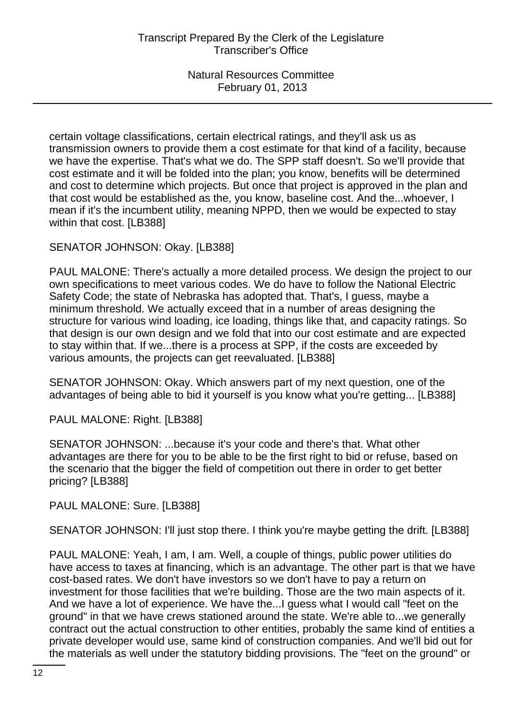certain voltage classifications, certain electrical ratings, and they'll ask us as transmission owners to provide them a cost estimate for that kind of a facility, because we have the expertise. That's what we do. The SPP staff doesn't. So we'll provide that cost estimate and it will be folded into the plan; you know, benefits will be determined and cost to determine which projects. But once that project is approved in the plan and that cost would be established as the, you know, baseline cost. And the...whoever, I mean if it's the incumbent utility, meaning NPPD, then we would be expected to stay within that cost. [LB388]

SENATOR JOHNSON: Okay. [LB388]

PAUL MALONE: There's actually a more detailed process. We design the project to our own specifications to meet various codes. We do have to follow the National Electric Safety Code; the state of Nebraska has adopted that. That's, I guess, maybe a minimum threshold. We actually exceed that in a number of areas designing the structure for various wind loading, ice loading, things like that, and capacity ratings. So that design is our own design and we fold that into our cost estimate and are expected to stay within that. If we...there is a process at SPP, if the costs are exceeded by various amounts, the projects can get reevaluated. [LB388]

SENATOR JOHNSON: Okay. Which answers part of my next question, one of the advantages of being able to bid it yourself is you know what you're getting... [LB388]

PAUL MALONE: Right. [LB388]

SENATOR JOHNSON: ...because it's your code and there's that. What other advantages are there for you to be able to be the first right to bid or refuse, based on the scenario that the bigger the field of competition out there in order to get better pricing? [LB388]

PAUL MALONE: Sure. [LB388]

SENATOR JOHNSON: I'll just stop there. I think you're maybe getting the drift. [LB388]

PAUL MALONE: Yeah, I am, I am. Well, a couple of things, public power utilities do have access to taxes at financing, which is an advantage. The other part is that we have cost-based rates. We don't have investors so we don't have to pay a return on investment for those facilities that we're building. Those are the two main aspects of it. And we have a lot of experience. We have the...I guess what I would call "feet on the ground" in that we have crews stationed around the state. We're able to...we generally contract out the actual construction to other entities, probably the same kind of entities a private developer would use, same kind of construction companies. And we'll bid out for the materials as well under the statutory bidding provisions. The "feet on the ground" or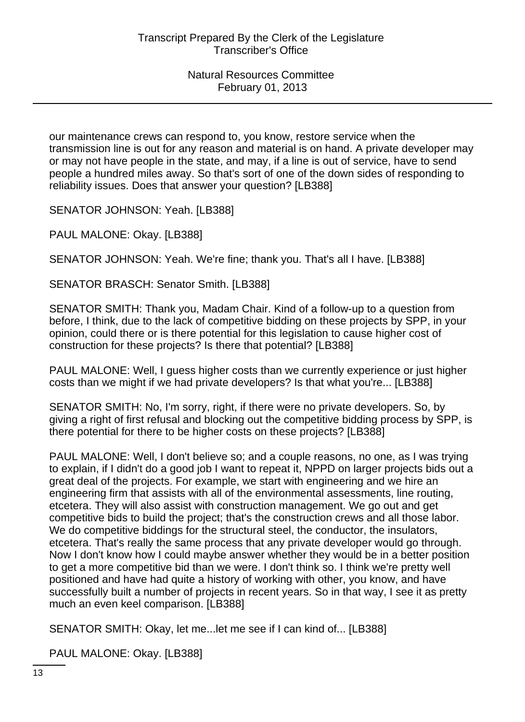our maintenance crews can respond to, you know, restore service when the transmission line is out for any reason and material is on hand. A private developer may or may not have people in the state, and may, if a line is out of service, have to send people a hundred miles away. So that's sort of one of the down sides of responding to reliability issues. Does that answer your question? [LB388]

SENATOR JOHNSON: Yeah. [LB388]

PAUL MALONE: Okay. [LB388]

SENATOR JOHNSON: Yeah. We're fine; thank you. That's all I have. [LB388]

SENATOR BRASCH: Senator Smith. [LB388]

SENATOR SMITH: Thank you, Madam Chair. Kind of a follow-up to a question from before, I think, due to the lack of competitive bidding on these projects by SPP, in your opinion, could there or is there potential for this legislation to cause higher cost of construction for these projects? Is there that potential? [LB388]

PAUL MALONE: Well, I guess higher costs than we currently experience or just higher costs than we might if we had private developers? Is that what you're... [LB388]

SENATOR SMITH: No, I'm sorry, right, if there were no private developers. So, by giving a right of first refusal and blocking out the competitive bidding process by SPP, is there potential for there to be higher costs on these projects? [LB388]

PAUL MALONE: Well, I don't believe so; and a couple reasons, no one, as I was trying to explain, if I didn't do a good job I want to repeat it, NPPD on larger projects bids out a great deal of the projects. For example, we start with engineering and we hire an engineering firm that assists with all of the environmental assessments, line routing, etcetera. They will also assist with construction management. We go out and get competitive bids to build the project; that's the construction crews and all those labor. We do competitive biddings for the structural steel, the conductor, the insulators, etcetera. That's really the same process that any private developer would go through. Now I don't know how I could maybe answer whether they would be in a better position to get a more competitive bid than we were. I don't think so. I think we're pretty well positioned and have had quite a history of working with other, you know, and have successfully built a number of projects in recent years. So in that way, I see it as pretty much an even keel comparison. [LB388]

SENATOR SMITH: Okay, let me...let me see if I can kind of... [LB388]

PAUL MALONE: Okay. [LB388]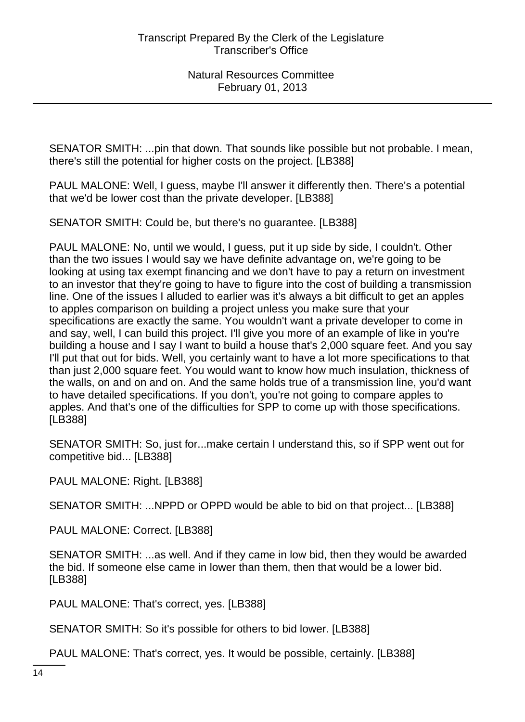SENATOR SMITH: ...pin that down. That sounds like possible but not probable. I mean, there's still the potential for higher costs on the project. [LB388]

PAUL MALONE: Well, I guess, maybe I'll answer it differently then. There's a potential that we'd be lower cost than the private developer. [LB388]

SENATOR SMITH: Could be, but there's no guarantee. [LB388]

PAUL MALONE: No, until we would, I guess, put it up side by side, I couldn't. Other than the two issues I would say we have definite advantage on, we're going to be looking at using tax exempt financing and we don't have to pay a return on investment to an investor that they're going to have to figure into the cost of building a transmission line. One of the issues I alluded to earlier was it's always a bit difficult to get an apples to apples comparison on building a project unless you make sure that your specifications are exactly the same. You wouldn't want a private developer to come in and say, well, I can build this project. I'll give you more of an example of like in you're building a house and I say I want to build a house that's 2,000 square feet. And you say I'll put that out for bids. Well, you certainly want to have a lot more specifications to that than just 2,000 square feet. You would want to know how much insulation, thickness of the walls, on and on and on. And the same holds true of a transmission line, you'd want to have detailed specifications. If you don't, you're not going to compare apples to apples. And that's one of the difficulties for SPP to come up with those specifications. [LB388]

SENATOR SMITH: So, just for...make certain I understand this, so if SPP went out for competitive bid... [LB388]

PAUL MALONE: Right. [LB388]

SENATOR SMITH: ...NPPD or OPPD would be able to bid on that project... [LB388]

PAUL MALONE: Correct. [LB388]

SENATOR SMITH: ...as well. And if they came in low bid, then they would be awarded the bid. If someone else came in lower than them, then that would be a lower bid. [LB388]

PAUL MALONE: That's correct, yes. [LB388]

SENATOR SMITH: So it's possible for others to bid lower. [LB388]

PAUL MALONE: That's correct, yes. It would be possible, certainly. [LB388]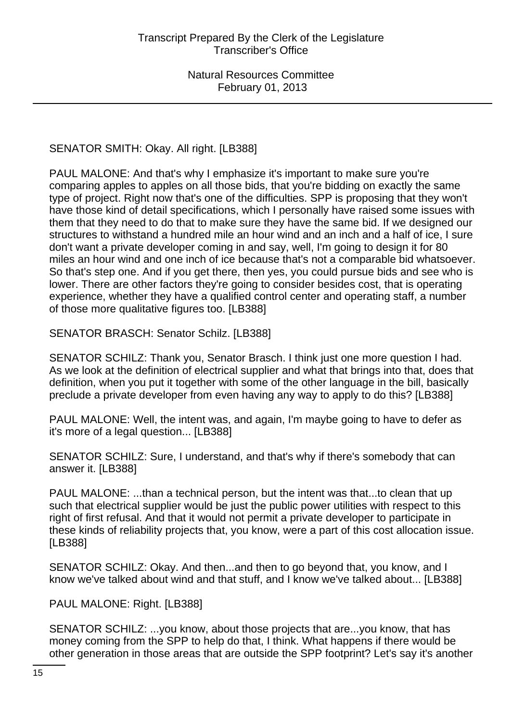SENATOR SMITH: Okay. All right. [LB388]

PAUL MALONE: And that's why I emphasize it's important to make sure you're comparing apples to apples on all those bids, that you're bidding on exactly the same type of project. Right now that's one of the difficulties. SPP is proposing that they won't have those kind of detail specifications, which I personally have raised some issues with them that they need to do that to make sure they have the same bid. If we designed our structures to withstand a hundred mile an hour wind and an inch and a half of ice, I sure don't want a private developer coming in and say, well, I'm going to design it for 80 miles an hour wind and one inch of ice because that's not a comparable bid whatsoever. So that's step one. And if you get there, then yes, you could pursue bids and see who is lower. There are other factors they're going to consider besides cost, that is operating experience, whether they have a qualified control center and operating staff, a number of those more qualitative figures too. [LB388]

SENATOR BRASCH: Senator Schilz. [LB388]

SENATOR SCHILZ: Thank you, Senator Brasch. I think just one more question I had. As we look at the definition of electrical supplier and what that brings into that, does that definition, when you put it together with some of the other language in the bill, basically preclude a private developer from even having any way to apply to do this? [LB388]

PAUL MALONE: Well, the intent was, and again, I'm maybe going to have to defer as it's more of a legal question... [LB388]

SENATOR SCHILZ: Sure, I understand, and that's why if there's somebody that can answer it. [LB388]

PAUL MALONE: ...than a technical person, but the intent was that...to clean that up such that electrical supplier would be just the public power utilities with respect to this right of first refusal. And that it would not permit a private developer to participate in these kinds of reliability projects that, you know, were a part of this cost allocation issue. [LB388]

SENATOR SCHILZ: Okay. And then...and then to go beyond that, you know, and I know we've talked about wind and that stuff, and I know we've talked about... [LB388]

PAUL MALONE: Right. [LB388]

SENATOR SCHILZ: ...you know, about those projects that are...you know, that has money coming from the SPP to help do that, I think. What happens if there would be other generation in those areas that are outside the SPP footprint? Let's say it's another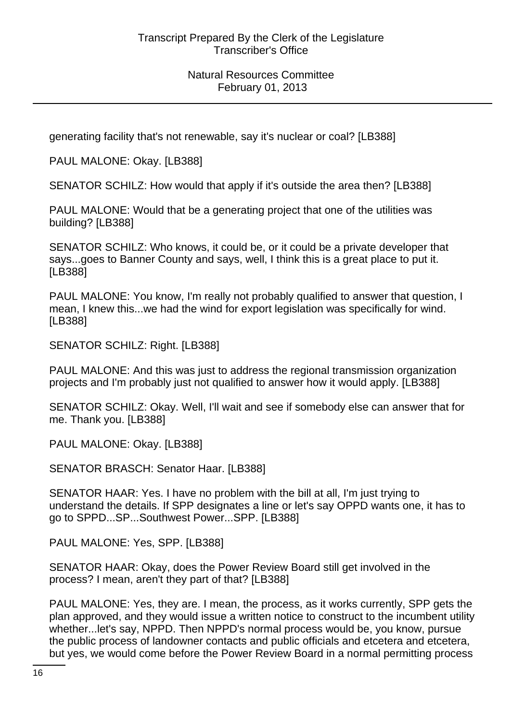generating facility that's not renewable, say it's nuclear or coal? [LB388]

PAUL MALONE: Okay. [LB388]

SENATOR SCHILZ: How would that apply if it's outside the area then? [LB388]

PAUL MALONE: Would that be a generating project that one of the utilities was building? [LB388]

SENATOR SCHILZ: Who knows, it could be, or it could be a private developer that says...goes to Banner County and says, well, I think this is a great place to put it. [LB388]

PAUL MALONE: You know, I'm really not probably qualified to answer that question, I mean, I knew this...we had the wind for export legislation was specifically for wind. [LB388]

SENATOR SCHILZ: Right. [LB388]

PAUL MALONE: And this was just to address the regional transmission organization projects and I'm probably just not qualified to answer how it would apply. [LB388]

SENATOR SCHILZ: Okay. Well, I'll wait and see if somebody else can answer that for me. Thank you. [LB388]

PAUL MALONE: Okay. [LB388]

SENATOR BRASCH: Senator Haar. [LB388]

SENATOR HAAR: Yes. I have no problem with the bill at all, I'm just trying to understand the details. If SPP designates a line or let's say OPPD wants one, it has to go to SPPD...SP...Southwest Power...SPP. [LB388]

PAUL MALONE: Yes, SPP. [LB388]

SENATOR HAAR: Okay, does the Power Review Board still get involved in the process? I mean, aren't they part of that? [LB388]

PAUL MALONE: Yes, they are. I mean, the process, as it works currently, SPP gets the plan approved, and they would issue a written notice to construct to the incumbent utility whether...let's say, NPPD. Then NPPD's normal process would be, you know, pursue the public process of landowner contacts and public officials and etcetera and etcetera, but yes, we would come before the Power Review Board in a normal permitting process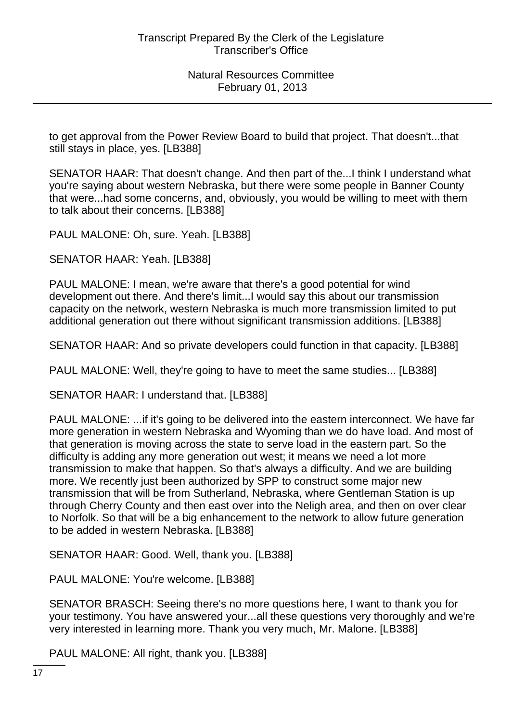to get approval from the Power Review Board to build that project. That doesn't...that still stays in place, yes. [LB388]

SENATOR HAAR: That doesn't change. And then part of the...I think I understand what you're saying about western Nebraska, but there were some people in Banner County that were...had some concerns, and, obviously, you would be willing to meet with them to talk about their concerns. [LB388]

PAUL MALONE: Oh, sure. Yeah. [LB388]

SENATOR HAAR: Yeah. [LB388]

PAUL MALONE: I mean, we're aware that there's a good potential for wind development out there. And there's limit...I would say this about our transmission capacity on the network, western Nebraska is much more transmission limited to put additional generation out there without significant transmission additions. [LB388]

SENATOR HAAR: And so private developers could function in that capacity. [LB388]

PAUL MALONE: Well, they're going to have to meet the same studies... [LB388]

SENATOR HAAR: I understand that. [LB388]

PAUL MALONE: ...if it's going to be delivered into the eastern interconnect. We have far more generation in western Nebraska and Wyoming than we do have load. And most of that generation is moving across the state to serve load in the eastern part. So the difficulty is adding any more generation out west; it means we need a lot more transmission to make that happen. So that's always a difficulty. And we are building more. We recently just been authorized by SPP to construct some major new transmission that will be from Sutherland, Nebraska, where Gentleman Station is up through Cherry County and then east over into the Neligh area, and then on over clear to Norfolk. So that will be a big enhancement to the network to allow future generation to be added in western Nebraska. [LB388]

SENATOR HAAR: Good. Well, thank you. [LB388]

PAUL MALONE: You're welcome. [LB388]

SENATOR BRASCH: Seeing there's no more questions here, I want to thank you for your testimony. You have answered your...all these questions very thoroughly and we're very interested in learning more. Thank you very much, Mr. Malone. [LB388]

PAUL MALONE: All right, thank you. [LB388]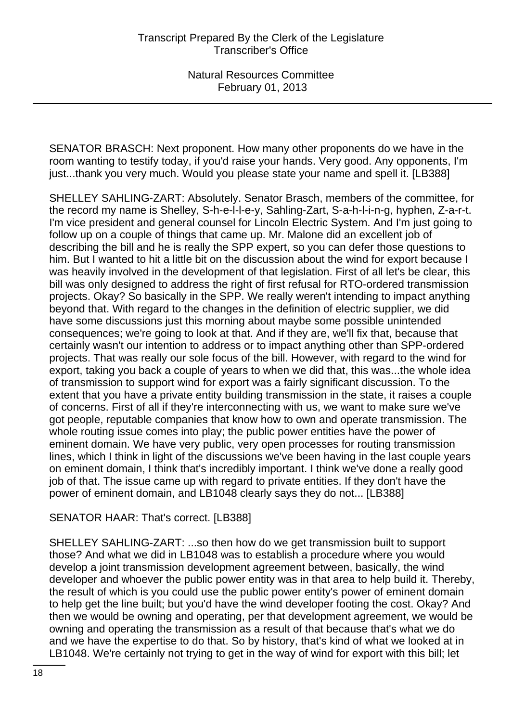SENATOR BRASCH: Next proponent. How many other proponents do we have in the room wanting to testify today, if you'd raise your hands. Very good. Any opponents, I'm just...thank you very much. Would you please state your name and spell it. [LB388]

SHELLEY SAHLING-ZART: Absolutely. Senator Brasch, members of the committee, for the record my name is Shelley, S-h-e-l-l-e-y, Sahling-Zart, S-a-h-l-i-n-g, hyphen, Z-a-r-t. I'm vice president and general counsel for Lincoln Electric System. And I'm just going to follow up on a couple of things that came up. Mr. Malone did an excellent job of describing the bill and he is really the SPP expert, so you can defer those questions to him. But I wanted to hit a little bit on the discussion about the wind for export because I was heavily involved in the development of that legislation. First of all let's be clear, this bill was only designed to address the right of first refusal for RTO-ordered transmission projects. Okay? So basically in the SPP. We really weren't intending to impact anything beyond that. With regard to the changes in the definition of electric supplier, we did have some discussions just this morning about maybe some possible unintended consequences; we're going to look at that. And if they are, we'll fix that, because that certainly wasn't our intention to address or to impact anything other than SPP-ordered projects. That was really our sole focus of the bill. However, with regard to the wind for export, taking you back a couple of years to when we did that, this was...the whole idea of transmission to support wind for export was a fairly significant discussion. To the extent that you have a private entity building transmission in the state, it raises a couple of concerns. First of all if they're interconnecting with us, we want to make sure we've got people, reputable companies that know how to own and operate transmission. The whole routing issue comes into play; the public power entities have the power of eminent domain. We have very public, very open processes for routing transmission lines, which I think in light of the discussions we've been having in the last couple years on eminent domain, I think that's incredibly important. I think we've done a really good job of that. The issue came up with regard to private entities. If they don't have the power of eminent domain, and LB1048 clearly says they do not... [LB388]

# SENATOR HAAR: That's correct. [LB388]

SHELLEY SAHLING-ZART: ...so then how do we get transmission built to support those? And what we did in LB1048 was to establish a procedure where you would develop a joint transmission development agreement between, basically, the wind developer and whoever the public power entity was in that area to help build it. Thereby, the result of which is you could use the public power entity's power of eminent domain to help get the line built; but you'd have the wind developer footing the cost. Okay? And then we would be owning and operating, per that development agreement, we would be owning and operating the transmission as a result of that because that's what we do and we have the expertise to do that. So by history, that's kind of what we looked at in LB1048. We're certainly not trying to get in the way of wind for export with this bill; let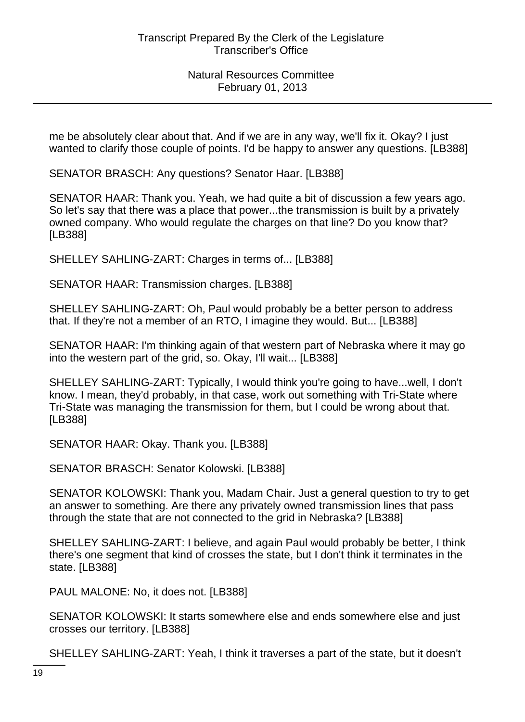me be absolutely clear about that. And if we are in any way, we'll fix it. Okay? I just wanted to clarify those couple of points. I'd be happy to answer any questions. [LB388]

SENATOR BRASCH: Any questions? Senator Haar. [LB388]

SENATOR HAAR: Thank you. Yeah, we had quite a bit of discussion a few years ago. So let's say that there was a place that power...the transmission is built by a privately owned company. Who would regulate the charges on that line? Do you know that? [LB388]

SHELLEY SAHLING-ZART: Charges in terms of... [LB388]

SENATOR HAAR: Transmission charges. [LB388]

SHELLEY SAHLING-ZART: Oh, Paul would probably be a better person to address that. If they're not a member of an RTO, I imagine they would. But... [LB388]

SENATOR HAAR: I'm thinking again of that western part of Nebraska where it may go into the western part of the grid, so. Okay, I'll wait... [LB388]

SHELLEY SAHLING-ZART: Typically, I would think you're going to have...well, I don't know. I mean, they'd probably, in that case, work out something with Tri-State where Tri-State was managing the transmission for them, but I could be wrong about that. [LB388]

SENATOR HAAR: Okay. Thank you. [LB388]

SENATOR BRASCH: Senator Kolowski. [LB388]

SENATOR KOLOWSKI: Thank you, Madam Chair. Just a general question to try to get an answer to something. Are there any privately owned transmission lines that pass through the state that are not connected to the grid in Nebraska? [LB388]

SHELLEY SAHLING-ZART: I believe, and again Paul would probably be better, I think there's one segment that kind of crosses the state, but I don't think it terminates in the state. [LB388]

PAUL MALONE: No, it does not. [LB388]

SENATOR KOLOWSKI: It starts somewhere else and ends somewhere else and just crosses our territory. [LB388]

SHELLEY SAHLING-ZART: Yeah, I think it traverses a part of the state, but it doesn't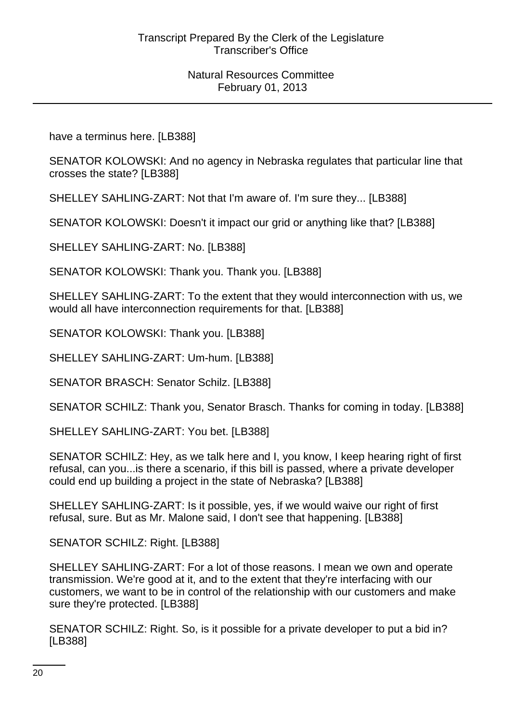have a terminus here. [LB388]

SENATOR KOLOWSKI: And no agency in Nebraska regulates that particular line that crosses the state? [LB388]

SHELLEY SAHLING-ZART: Not that I'm aware of. I'm sure they... [LB388]

SENATOR KOLOWSKI: Doesn't it impact our grid or anything like that? [LB388]

SHELLEY SAHLING-ZART: No. [LB388]

SENATOR KOLOWSKI: Thank you. Thank you. [LB388]

SHELLEY SAHLING-ZART: To the extent that they would interconnection with us, we would all have interconnection requirements for that. [LB388]

SENATOR KOLOWSKI: Thank you. [LB388]

SHELLEY SAHLING-ZART: Um-hum. [LB388]

SENATOR BRASCH: Senator Schilz. [LB388]

SENATOR SCHILZ: Thank you, Senator Brasch. Thanks for coming in today. [LB388]

SHELLEY SAHLING-ZART: You bet. [LB388]

SENATOR SCHILZ: Hey, as we talk here and I, you know, I keep hearing right of first refusal, can you...is there a scenario, if this bill is passed, where a private developer could end up building a project in the state of Nebraska? [LB388]

SHELLEY SAHLING-ZART: Is it possible, yes, if we would waive our right of first refusal, sure. But as Mr. Malone said, I don't see that happening. [LB388]

SENATOR SCHILZ: Right. [LB388]

SHELLEY SAHLING-ZART: For a lot of those reasons. I mean we own and operate transmission. We're good at it, and to the extent that they're interfacing with our customers, we want to be in control of the relationship with our customers and make sure they're protected. [LB388]

SENATOR SCHILZ: Right. So, is it possible for a private developer to put a bid in? [LB388]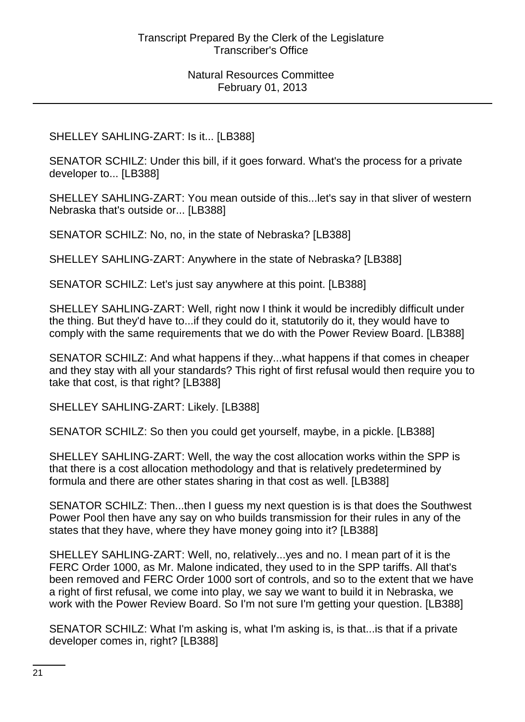# SHELLEY SAHLING-ZART: Is it... [LB388]

SENATOR SCHILZ: Under this bill, if it goes forward. What's the process for a private developer to... [LB388]

SHELLEY SAHLING-ZART: You mean outside of this...let's say in that sliver of western Nebraska that's outside or... [LB388]

SENATOR SCHILZ: No, no, in the state of Nebraska? [LB388]

SHELLEY SAHLING-ZART: Anywhere in the state of Nebraska? [LB388]

SENATOR SCHILZ: Let's just say anywhere at this point. [LB388]

SHELLEY SAHLING-ZART: Well, right now I think it would be incredibly difficult under the thing. But they'd have to...if they could do it, statutorily do it, they would have to comply with the same requirements that we do with the Power Review Board. [LB388]

SENATOR SCHILZ: And what happens if they...what happens if that comes in cheaper and they stay with all your standards? This right of first refusal would then require you to take that cost, is that right? [LB388]

SHELLEY SAHLING-ZART: Likely. [LB388]

SENATOR SCHILZ: So then you could get yourself, maybe, in a pickle. [LB388]

SHELLEY SAHLING-ZART: Well, the way the cost allocation works within the SPP is that there is a cost allocation methodology and that is relatively predetermined by formula and there are other states sharing in that cost as well. [LB388]

SENATOR SCHILZ: Then...then I guess my next question is is that does the Southwest Power Pool then have any say on who builds transmission for their rules in any of the states that they have, where they have money going into it? [LB388]

SHELLEY SAHLING-ZART: Well, no, relatively...yes and no. I mean part of it is the FERC Order 1000, as Mr. Malone indicated, they used to in the SPP tariffs. All that's been removed and FERC Order 1000 sort of controls, and so to the extent that we have a right of first refusal, we come into play, we say we want to build it in Nebraska, we work with the Power Review Board. So I'm not sure I'm getting your question. [LB388]

SENATOR SCHILZ: What I'm asking is, what I'm asking is, is that...is that if a private developer comes in, right? [LB388]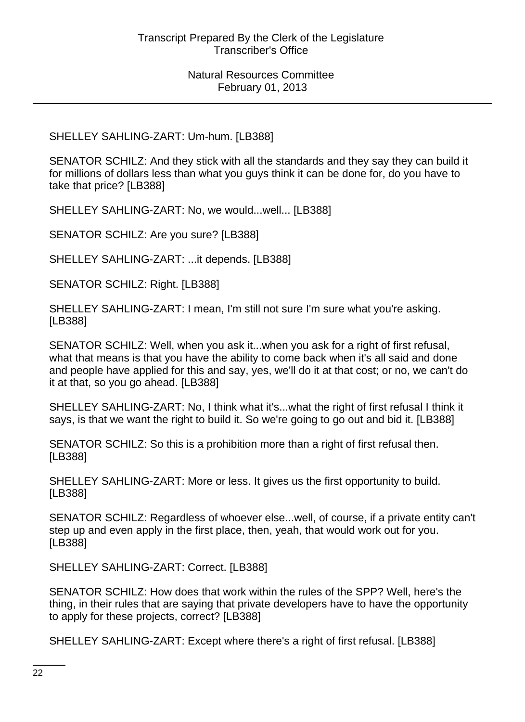#### SHELLEY SAHLING-ZART: Um-hum. [LB388]

SENATOR SCHILZ: And they stick with all the standards and they say they can build it for millions of dollars less than what you guys think it can be done for, do you have to take that price? [LB388]

SHELLEY SAHLING-ZART: No, we would...well... [LB388]

SENATOR SCHILZ: Are you sure? [LB388]

SHELLEY SAHLING-ZART: ...it depends. [LB388]

SENATOR SCHILZ: Right. [LB388]

SHELLEY SAHLING-ZART: I mean, I'm still not sure I'm sure what you're asking. [LB388]

SENATOR SCHILZ: Well, when you ask it...when you ask for a right of first refusal, what that means is that you have the ability to come back when it's all said and done and people have applied for this and say, yes, we'll do it at that cost; or no, we can't do it at that, so you go ahead. [LB388]

SHELLEY SAHLING-ZART: No, I think what it's...what the right of first refusal I think it says, is that we want the right to build it. So we're going to go out and bid it. [LB388]

SENATOR SCHILZ: So this is a prohibition more than a right of first refusal then. [LB388]

SHELLEY SAHLING-ZART: More or less. It gives us the first opportunity to build. [LB388]

SENATOR SCHILZ: Regardless of whoever else...well, of course, if a private entity can't step up and even apply in the first place, then, yeah, that would work out for you. [LB388]

SHELLEY SAHLING-ZART: Correct. [LB388]

SENATOR SCHILZ: How does that work within the rules of the SPP? Well, here's the thing, in their rules that are saying that private developers have to have the opportunity to apply for these projects, correct? [LB388]

SHELLEY SAHLING-ZART: Except where there's a right of first refusal. [LB388]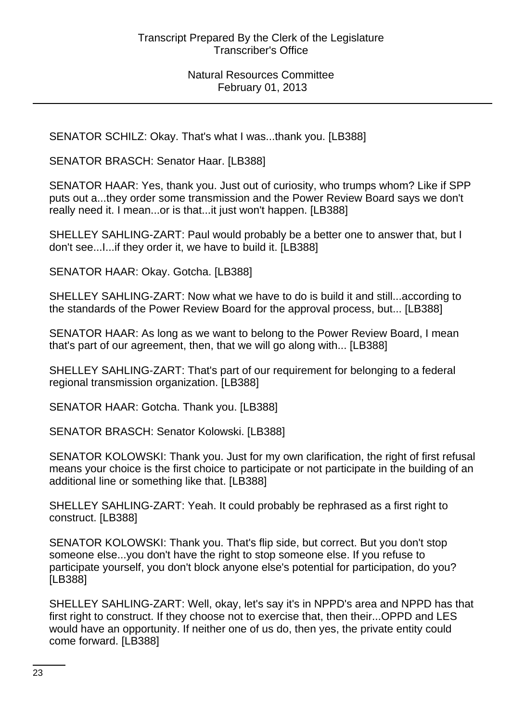SENATOR SCHILZ: Okay. That's what I was...thank you. [LB388]

SENATOR BRASCH: Senator Haar. [LB388]

SENATOR HAAR: Yes, thank you. Just out of curiosity, who trumps whom? Like if SPP puts out a...they order some transmission and the Power Review Board says we don't really need it. I mean...or is that...it just won't happen. [LB388]

SHELLEY SAHLING-ZART: Paul would probably be a better one to answer that, but I don't see...I...if they order it, we have to build it. [LB388]

SENATOR HAAR: Okay. Gotcha. [LB388]

SHELLEY SAHLING-ZART: Now what we have to do is build it and still...according to the standards of the Power Review Board for the approval process, but... [LB388]

SENATOR HAAR: As long as we want to belong to the Power Review Board, I mean that's part of our agreement, then, that we will go along with... [LB388]

SHELLEY SAHLING-ZART: That's part of our requirement for belonging to a federal regional transmission organization. [LB388]

SENATOR HAAR: Gotcha. Thank you. [LB388]

SENATOR BRASCH: Senator Kolowski. [LB388]

SENATOR KOLOWSKI: Thank you. Just for my own clarification, the right of first refusal means your choice is the first choice to participate or not participate in the building of an additional line or something like that. [LB388]

SHELLEY SAHLING-ZART: Yeah. It could probably be rephrased as a first right to construct. [LB388]

SENATOR KOLOWSKI: Thank you. That's flip side, but correct. But you don't stop someone else...you don't have the right to stop someone else. If you refuse to participate yourself, you don't block anyone else's potential for participation, do you? [LB388]

SHELLEY SAHLING-ZART: Well, okay, let's say it's in NPPD's area and NPPD has that first right to construct. If they choose not to exercise that, then their...OPPD and LES would have an opportunity. If neither one of us do, then yes, the private entity could come forward. [LB388]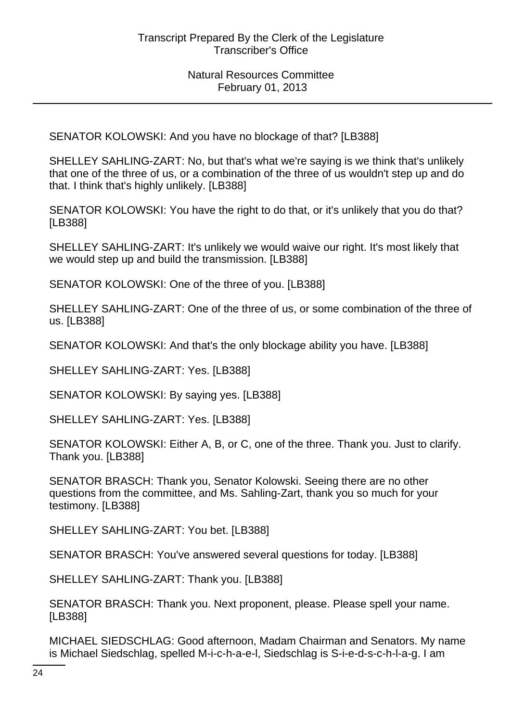SENATOR KOLOWSKI: And you have no blockage of that? [LB388]

SHELLEY SAHLING-ZART: No, but that's what we're saying is we think that's unlikely that one of the three of us, or a combination of the three of us wouldn't step up and do that. I think that's highly unlikely. [LB388]

SENATOR KOLOWSKI: You have the right to do that, or it's unlikely that you do that? [LB388]

SHELLEY SAHLING-ZART: It's unlikely we would waive our right. It's most likely that we would step up and build the transmission. [LB388]

SENATOR KOLOWSKI: One of the three of you. [LB388]

SHELLEY SAHLING-ZART: One of the three of us, or some combination of the three of us. [LB388]

SENATOR KOLOWSKI: And that's the only blockage ability you have. [LB388]

SHELLEY SAHLING-ZART: Yes. [LB388]

SENATOR KOLOWSKI: By saying yes. [LB388]

SHELLEY SAHLING-ZART: Yes. [LB388]

SENATOR KOLOWSKI: Either A, B, or C, one of the three. Thank you. Just to clarify. Thank you. [LB388]

SENATOR BRASCH: Thank you, Senator Kolowski. Seeing there are no other questions from the committee, and Ms. Sahling-Zart, thank you so much for your testimony. [LB388]

SHELLEY SAHLING-ZART: You bet. [LB388]

SENATOR BRASCH: You've answered several questions for today. [LB388]

SHELLEY SAHLING-ZART: Thank you. [LB388]

SENATOR BRASCH: Thank you. Next proponent, please. Please spell your name. [LB388]

MICHAEL SIEDSCHLAG: Good afternoon, Madam Chairman and Senators. My name is Michael Siedschlag, spelled M-i-c-h-a-e-l, Siedschlag is S-i-e-d-s-c-h-l-a-g. I am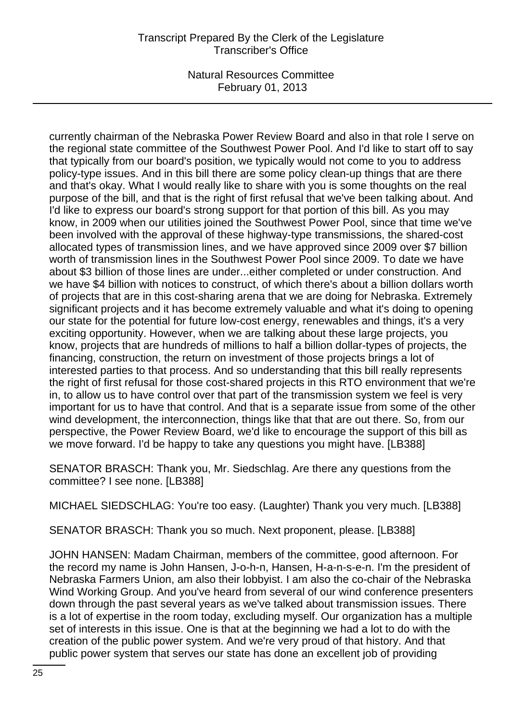currently chairman of the Nebraska Power Review Board and also in that role I serve on the regional state committee of the Southwest Power Pool. And I'd like to start off to say that typically from our board's position, we typically would not come to you to address policy-type issues. And in this bill there are some policy clean-up things that are there and that's okay. What I would really like to share with you is some thoughts on the real purpose of the bill, and that is the right of first refusal that we've been talking about. And I'd like to express our board's strong support for that portion of this bill. As you may know, in 2009 when our utilities joined the Southwest Power Pool, since that time we've been involved with the approval of these highway-type transmissions, the shared-cost allocated types of transmission lines, and we have approved since 2009 over \$7 billion worth of transmission lines in the Southwest Power Pool since 2009. To date we have about \$3 billion of those lines are under...either completed or under construction. And we have \$4 billion with notices to construct, of which there's about a billion dollars worth of projects that are in this cost-sharing arena that we are doing for Nebraska. Extremely significant projects and it has become extremely valuable and what it's doing to opening our state for the potential for future low-cost energy, renewables and things, it's a very exciting opportunity. However, when we are talking about these large projects, you know, projects that are hundreds of millions to half a billion dollar-types of projects, the financing, construction, the return on investment of those projects brings a lot of interested parties to that process. And so understanding that this bill really represents the right of first refusal for those cost-shared projects in this RTO environment that we're in, to allow us to have control over that part of the transmission system we feel is very important for us to have that control. And that is a separate issue from some of the other wind development, the interconnection, things like that that are out there. So, from our perspective, the Power Review Board, we'd like to encourage the support of this bill as we move forward. I'd be happy to take any questions you might have. [LB388]

SENATOR BRASCH: Thank you, Mr. Siedschlag. Are there any questions from the committee? I see none. [LB388]

MICHAEL SIEDSCHLAG: You're too easy. (Laughter) Thank you very much. [LB388]

SENATOR BRASCH: Thank you so much. Next proponent, please. [LB388]

JOHN HANSEN: Madam Chairman, members of the committee, good afternoon. For the record my name is John Hansen, J-o-h-n, Hansen, H-a-n-s-e-n. I'm the president of Nebraska Farmers Union, am also their lobbyist. I am also the co-chair of the Nebraska Wind Working Group. And you've heard from several of our wind conference presenters down through the past several years as we've talked about transmission issues. There is a lot of expertise in the room today, excluding myself. Our organization has a multiple set of interests in this issue. One is that at the beginning we had a lot to do with the creation of the public power system. And we're very proud of that history. And that public power system that serves our state has done an excellent job of providing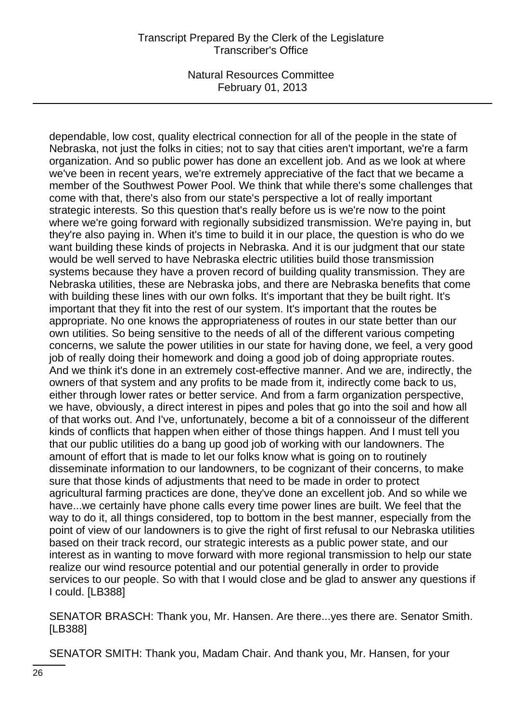dependable, low cost, quality electrical connection for all of the people in the state of Nebraska, not just the folks in cities; not to say that cities aren't important, we're a farm organization. And so public power has done an excellent job. And as we look at where we've been in recent years, we're extremely appreciative of the fact that we became a member of the Southwest Power Pool. We think that while there's some challenges that come with that, there's also from our state's perspective a lot of really important strategic interests. So this question that's really before us is we're now to the point where we're going forward with regionally subsidized transmission. We're paying in, but they're also paying in. When it's time to build it in our place, the question is who do we want building these kinds of projects in Nebraska. And it is our judgment that our state would be well served to have Nebraska electric utilities build those transmission systems because they have a proven record of building quality transmission. They are Nebraska utilities, these are Nebraska jobs, and there are Nebraska benefits that come with building these lines with our own folks. It's important that they be built right. It's important that they fit into the rest of our system. It's important that the routes be appropriate. No one knows the appropriateness of routes in our state better than our own utilities. So being sensitive to the needs of all of the different various competing concerns, we salute the power utilities in our state for having done, we feel, a very good job of really doing their homework and doing a good job of doing appropriate routes. And we think it's done in an extremely cost-effective manner. And we are, indirectly, the owners of that system and any profits to be made from it, indirectly come back to us, either through lower rates or better service. And from a farm organization perspective, we have, obviously, a direct interest in pipes and poles that go into the soil and how all of that works out. And I've, unfortunately, become a bit of a connoisseur of the different kinds of conflicts that happen when either of those things happen. And I must tell you that our public utilities do a bang up good job of working with our landowners. The amount of effort that is made to let our folks know what is going on to routinely disseminate information to our landowners, to be cognizant of their concerns, to make sure that those kinds of adjustments that need to be made in order to protect agricultural farming practices are done, they've done an excellent job. And so while we have...we certainly have phone calls every time power lines are built. We feel that the way to do it, all things considered, top to bottom in the best manner, especially from the point of view of our landowners is to give the right of first refusal to our Nebraska utilities based on their track record, our strategic interests as a public power state, and our interest as in wanting to move forward with more regional transmission to help our state realize our wind resource potential and our potential generally in order to provide services to our people. So with that I would close and be glad to answer any questions if I could. [LB388]

SENATOR BRASCH: Thank you, Mr. Hansen. Are there...yes there are. Senator Smith. [LB388]

SENATOR SMITH: Thank you, Madam Chair. And thank you, Mr. Hansen, for your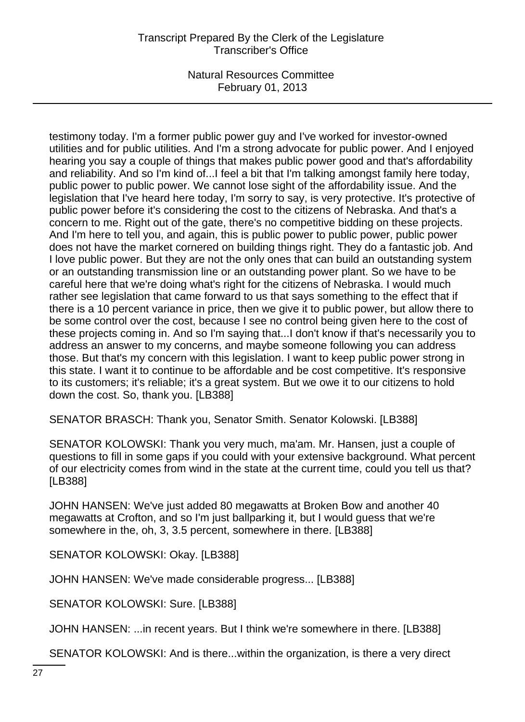# Transcript Prepared By the Clerk of the Legislature Transcriber's Office

Natural Resources Committee February 01, 2013

testimony today. I'm a former public power guy and I've worked for investor-owned utilities and for public utilities. And I'm a strong advocate for public power. And I enjoyed hearing you say a couple of things that makes public power good and that's affordability and reliability. And so I'm kind of...I feel a bit that I'm talking amongst family here today, public power to public power. We cannot lose sight of the affordability issue. And the legislation that I've heard here today, I'm sorry to say, is very protective. It's protective of public power before it's considering the cost to the citizens of Nebraska. And that's a concern to me. Right out of the gate, there's no competitive bidding on these projects. And I'm here to tell you, and again, this is public power to public power, public power does not have the market cornered on building things right. They do a fantastic job. And I love public power. But they are not the only ones that can build an outstanding system or an outstanding transmission line or an outstanding power plant. So we have to be careful here that we're doing what's right for the citizens of Nebraska. I would much rather see legislation that came forward to us that says something to the effect that if there is a 10 percent variance in price, then we give it to public power, but allow there to be some control over the cost, because I see no control being given here to the cost of these projects coming in. And so I'm saying that...I don't know if that's necessarily you to address an answer to my concerns, and maybe someone following you can address those. But that's my concern with this legislation. I want to keep public power strong in this state. I want it to continue to be affordable and be cost competitive. It's responsive to its customers; it's reliable; it's a great system. But we owe it to our citizens to hold down the cost. So, thank you. [LB388]

SENATOR BRASCH: Thank you, Senator Smith. Senator Kolowski. [LB388]

SENATOR KOLOWSKI: Thank you very much, ma'am. Mr. Hansen, just a couple of questions to fill in some gaps if you could with your extensive background. What percent of our electricity comes from wind in the state at the current time, could you tell us that? [LB388]

JOHN HANSEN: We've just added 80 megawatts at Broken Bow and another 40 megawatts at Crofton, and so I'm just ballparking it, but I would guess that we're somewhere in the, oh, 3, 3.5 percent, somewhere in there. [LB388]

SENATOR KOLOWSKI: Okay. [LB388]

JOHN HANSEN: We've made considerable progress... [LB388]

SENATOR KOLOWSKI: Sure. [LB388]

JOHN HANSEN: ...in recent years. But I think we're somewhere in there. [LB388]

SENATOR KOLOWSKI: And is there...within the organization, is there a very direct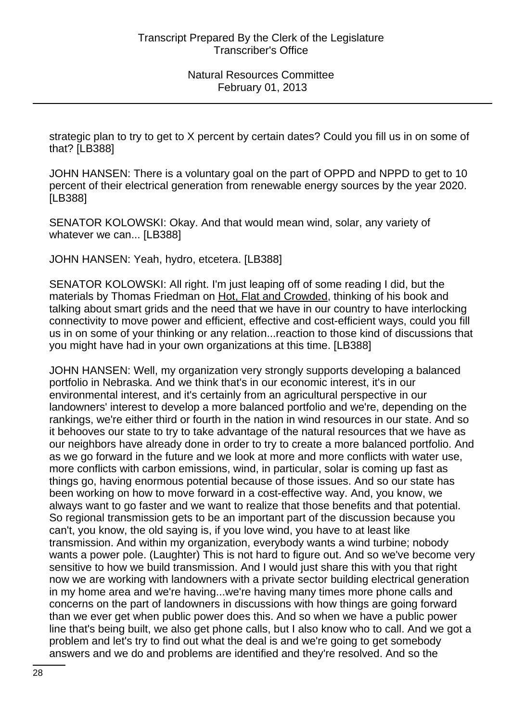strategic plan to try to get to X percent by certain dates? Could you fill us in on some of that? [LB388]

JOHN HANSEN: There is a voluntary goal on the part of OPPD and NPPD to get to 10 percent of their electrical generation from renewable energy sources by the year 2020. [LB388]

SENATOR KOLOWSKI: Okay. And that would mean wind, solar, any variety of whatever we can... [LB388]

JOHN HANSEN: Yeah, hydro, etcetera. [LB388]

SENATOR KOLOWSKI: All right. I'm just leaping off of some reading I did, but the materials by Thomas Friedman on Hot, Flat and Crowded, thinking of his book and talking about smart grids and the need that we have in our country to have interlocking connectivity to move power and efficient, effective and cost-efficient ways, could you fill us in on some of your thinking or any relation...reaction to those kind of discussions that you might have had in your own organizations at this time. [LB388]

JOHN HANSEN: Well, my organization very strongly supports developing a balanced portfolio in Nebraska. And we think that's in our economic interest, it's in our environmental interest, and it's certainly from an agricultural perspective in our landowners' interest to develop a more balanced portfolio and we're, depending on the rankings, we're either third or fourth in the nation in wind resources in our state. And so it behooves our state to try to take advantage of the natural resources that we have as our neighbors have already done in order to try to create a more balanced portfolio. And as we go forward in the future and we look at more and more conflicts with water use, more conflicts with carbon emissions, wind, in particular, solar is coming up fast as things go, having enormous potential because of those issues. And so our state has been working on how to move forward in a cost-effective way. And, you know, we always want to go faster and we want to realize that those benefits and that potential. So regional transmission gets to be an important part of the discussion because you can't, you know, the old saying is, if you love wind, you have to at least like transmission. And within my organization, everybody wants a wind turbine; nobody wants a power pole. (Laughter) This is not hard to figure out. And so we've become very sensitive to how we build transmission. And I would just share this with you that right now we are working with landowners with a private sector building electrical generation in my home area and we're having...we're having many times more phone calls and concerns on the part of landowners in discussions with how things are going forward than we ever get when public power does this. And so when we have a public power line that's being built, we also get phone calls, but I also know who to call. And we got a problem and let's try to find out what the deal is and we're going to get somebody answers and we do and problems are identified and they're resolved. And so the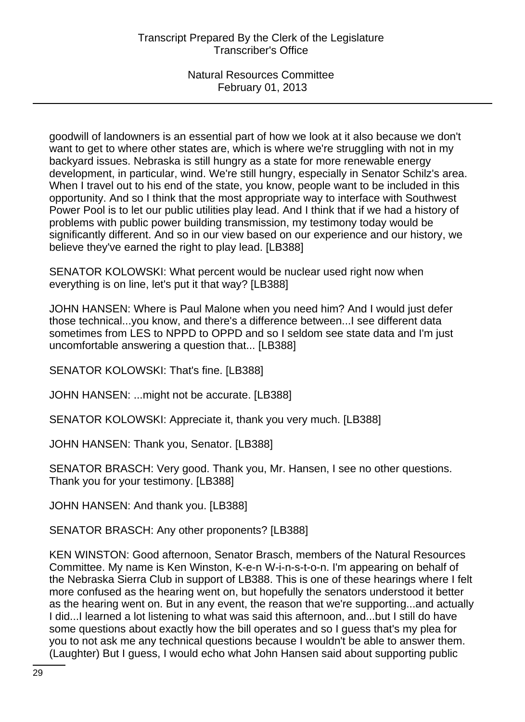goodwill of landowners is an essential part of how we look at it also because we don't want to get to where other states are, which is where we're struggling with not in my backyard issues. Nebraska is still hungry as a state for more renewable energy development, in particular, wind. We're still hungry, especially in Senator Schilz's area. When I travel out to his end of the state, you know, people want to be included in this opportunity. And so I think that the most appropriate way to interface with Southwest Power Pool is to let our public utilities play lead. And I think that if we had a history of problems with public power building transmission, my testimony today would be significantly different. And so in our view based on our experience and our history, we believe they've earned the right to play lead. [LB388]

SENATOR KOLOWSKI: What percent would be nuclear used right now when everything is on line, let's put it that way? [LB388]

JOHN HANSEN: Where is Paul Malone when you need him? And I would just defer those technical...you know, and there's a difference between...I see different data sometimes from LES to NPPD to OPPD and so I seldom see state data and I'm just uncomfortable answering a question that... [LB388]

SENATOR KOLOWSKI: That's fine. [LB388]

JOHN HANSEN: ...might not be accurate. [LB388]

SENATOR KOLOWSKI: Appreciate it, thank you very much. [LB388]

JOHN HANSEN: Thank you, Senator. [LB388]

SENATOR BRASCH: Very good. Thank you, Mr. Hansen, I see no other questions. Thank you for your testimony. [LB388]

JOHN HANSEN: And thank you. [LB388]

SENATOR BRASCH: Any other proponents? [LB388]

KEN WINSTON: Good afternoon, Senator Brasch, members of the Natural Resources Committee. My name is Ken Winston, K-e-n W-i-n-s-t-o-n. I'm appearing on behalf of the Nebraska Sierra Club in support of LB388. This is one of these hearings where I felt more confused as the hearing went on, but hopefully the senators understood it better as the hearing went on. But in any event, the reason that we're supporting...and actually I did...I learned a lot listening to what was said this afternoon, and...but I still do have some questions about exactly how the bill operates and so I guess that's my plea for you to not ask me any technical questions because I wouldn't be able to answer them. (Laughter) But I guess, I would echo what John Hansen said about supporting public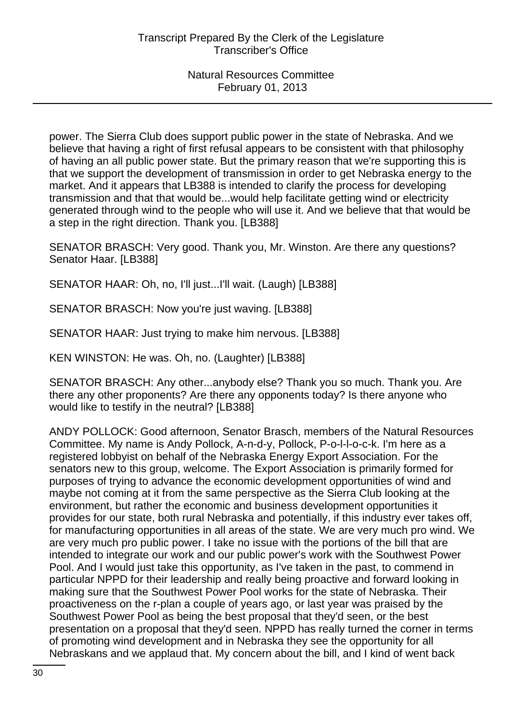power. The Sierra Club does support public power in the state of Nebraska. And we believe that having a right of first refusal appears to be consistent with that philosophy of having an all public power state. But the primary reason that we're supporting this is that we support the development of transmission in order to get Nebraska energy to the market. And it appears that LB388 is intended to clarify the process for developing transmission and that that would be...would help facilitate getting wind or electricity generated through wind to the people who will use it. And we believe that that would be a step in the right direction. Thank you. [LB388]

SENATOR BRASCH: Very good. Thank you, Mr. Winston. Are there any questions? Senator Haar. [LB388]

SENATOR HAAR: Oh, no, I'll just...I'll wait. (Laugh) [LB388]

SENATOR BRASCH: Now you're just waving. [LB388]

SENATOR HAAR: Just trying to make him nervous. [LB388]

KEN WINSTON: He was. Oh, no. (Laughter) [LB388]

SENATOR BRASCH: Any other...anybody else? Thank you so much. Thank you. Are there any other proponents? Are there any opponents today? Is there anyone who would like to testify in the neutral? [LB388]

ANDY POLLOCK: Good afternoon, Senator Brasch, members of the Natural Resources Committee. My name is Andy Pollock, A-n-d-y, Pollock, P-o-l-l-o-c-k. I'm here as a registered lobbyist on behalf of the Nebraska Energy Export Association. For the senators new to this group, welcome. The Export Association is primarily formed for purposes of trying to advance the economic development opportunities of wind and maybe not coming at it from the same perspective as the Sierra Club looking at the environment, but rather the economic and business development opportunities it provides for our state, both rural Nebraska and potentially, if this industry ever takes off, for manufacturing opportunities in all areas of the state. We are very much pro wind. We are very much pro public power. I take no issue with the portions of the bill that are intended to integrate our work and our public power's work with the Southwest Power Pool. And I would just take this opportunity, as I've taken in the past, to commend in particular NPPD for their leadership and really being proactive and forward looking in making sure that the Southwest Power Pool works for the state of Nebraska. Their proactiveness on the r-plan a couple of years ago, or last year was praised by the Southwest Power Pool as being the best proposal that they'd seen, or the best presentation on a proposal that they'd seen. NPPD has really turned the corner in terms of promoting wind development and in Nebraska they see the opportunity for all Nebraskans and we applaud that. My concern about the bill, and I kind of went back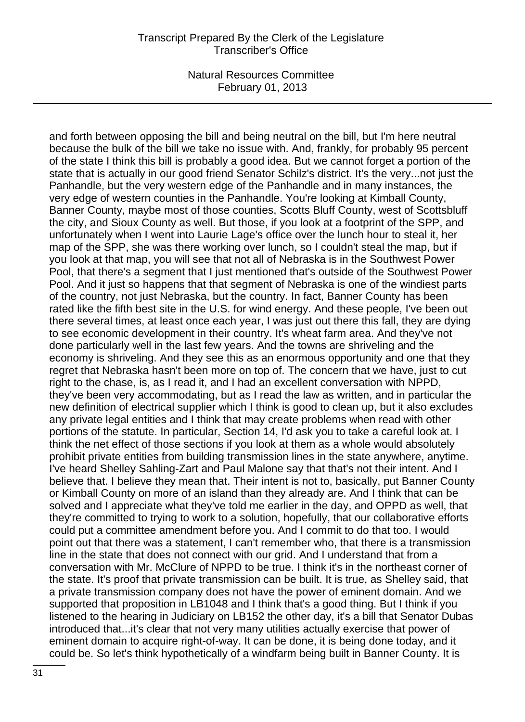and forth between opposing the bill and being neutral on the bill, but I'm here neutral because the bulk of the bill we take no issue with. And, frankly, for probably 95 percent of the state I think this bill is probably a good idea. But we cannot forget a portion of the state that is actually in our good friend Senator Schilz's district. It's the very...not just the Panhandle, but the very western edge of the Panhandle and in many instances, the very edge of western counties in the Panhandle. You're looking at Kimball County, Banner County, maybe most of those counties, Scotts Bluff County, west of Scottsbluff the city, and Sioux County as well. But those, if you look at a footprint of the SPP, and unfortunately when I went into Laurie Lage's office over the lunch hour to steal it, her map of the SPP, she was there working over lunch, so I couldn't steal the map, but if you look at that map, you will see that not all of Nebraska is in the Southwest Power Pool, that there's a segment that I just mentioned that's outside of the Southwest Power Pool. And it just so happens that that segment of Nebraska is one of the windiest parts of the country, not just Nebraska, but the country. In fact, Banner County has been rated like the fifth best site in the U.S. for wind energy. And these people, I've been out there several times, at least once each year, I was just out there this fall, they are dying to see economic development in their country. It's wheat farm area. And they've not done particularly well in the last few years. And the towns are shriveling and the economy is shriveling. And they see this as an enormous opportunity and one that they regret that Nebraska hasn't been more on top of. The concern that we have, just to cut right to the chase, is, as I read it, and I had an excellent conversation with NPPD, they've been very accommodating, but as I read the law as written, and in particular the new definition of electrical supplier which I think is good to clean up, but it also excludes any private legal entities and I think that may create problems when read with other portions of the statute. In particular, Section 14, I'd ask you to take a careful look at. I think the net effect of those sections if you look at them as a whole would absolutely prohibit private entities from building transmission lines in the state anywhere, anytime. I've heard Shelley Sahling-Zart and Paul Malone say that that's not their intent. And I believe that. I believe they mean that. Their intent is not to, basically, put Banner County or Kimball County on more of an island than they already are. And I think that can be solved and I appreciate what they've told me earlier in the day, and OPPD as well, that they're committed to trying to work to a solution, hopefully, that our collaborative efforts could put a committee amendment before you. And I commit to do that too. I would point out that there was a statement, I can't remember who, that there is a transmission line in the state that does not connect with our grid. And I understand that from a conversation with Mr. McClure of NPPD to be true. I think it's in the northeast corner of the state. It's proof that private transmission can be built. It is true, as Shelley said, that a private transmission company does not have the power of eminent domain. And we supported that proposition in LB1048 and I think that's a good thing. But I think if you listened to the hearing in Judiciary on LB152 the other day, it's a bill that Senator Dubas introduced that...it's clear that not very many utilities actually exercise that power of eminent domain to acquire right-of-way. It can be done, it is being done today, and it could be. So let's think hypothetically of a windfarm being built in Banner County. It is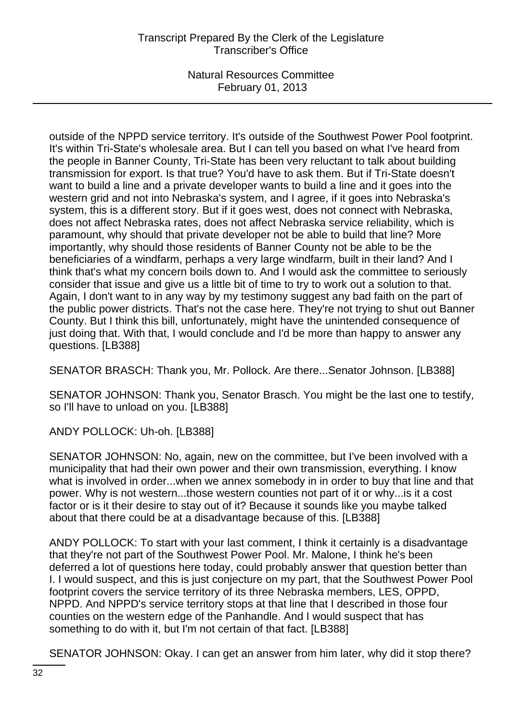outside of the NPPD service territory. It's outside of the Southwest Power Pool footprint. It's within Tri-State's wholesale area. But I can tell you based on what I've heard from the people in Banner County, Tri-State has been very reluctant to talk about building transmission for export. Is that true? You'd have to ask them. But if Tri-State doesn't want to build a line and a private developer wants to build a line and it goes into the western grid and not into Nebraska's system, and I agree, if it goes into Nebraska's system, this is a different story. But if it goes west, does not connect with Nebraska, does not affect Nebraska rates, does not affect Nebraska service reliability, which is paramount, why should that private developer not be able to build that line? More importantly, why should those residents of Banner County not be able to be the beneficiaries of a windfarm, perhaps a very large windfarm, built in their land? And I think that's what my concern boils down to. And I would ask the committee to seriously consider that issue and give us a little bit of time to try to work out a solution to that. Again, I don't want to in any way by my testimony suggest any bad faith on the part of the public power districts. That's not the case here. They're not trying to shut out Banner County. But I think this bill, unfortunately, might have the unintended consequence of just doing that. With that, I would conclude and I'd be more than happy to answer any questions. [LB388]

SENATOR BRASCH: Thank you, Mr. Pollock. Are there...Senator Johnson. [LB388]

SENATOR JOHNSON: Thank you, Senator Brasch. You might be the last one to testify, so I'll have to unload on you. [LB388]

ANDY POLLOCK: Uh-oh. [LB388]

SENATOR JOHNSON: No, again, new on the committee, but I've been involved with a municipality that had their own power and their own transmission, everything. I know what is involved in order...when we annex somebody in in order to buy that line and that power. Why is not western...those western counties not part of it or why...is it a cost factor or is it their desire to stay out of it? Because it sounds like you maybe talked about that there could be at a disadvantage because of this. [LB388]

ANDY POLLOCK: To start with your last comment, I think it certainly is a disadvantage that they're not part of the Southwest Power Pool. Mr. Malone, I think he's been deferred a lot of questions here today, could probably answer that question better than I. I would suspect, and this is just conjecture on my part, that the Southwest Power Pool footprint covers the service territory of its three Nebraska members, LES, OPPD, NPPD. And NPPD's service territory stops at that line that I described in those four counties on the western edge of the Panhandle. And I would suspect that has something to do with it, but I'm not certain of that fact. [LB388]

SENATOR JOHNSON: Okay. I can get an answer from him later, why did it stop there?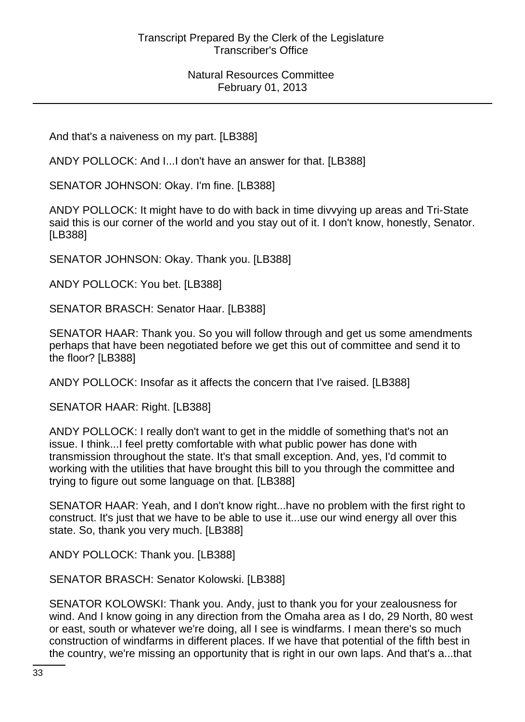And that's a naiveness on my part. [LB388]

ANDY POLLOCK: And I...I don't have an answer for that. [LB388]

SENATOR JOHNSON: Okay. I'm fine. [LB388]

ANDY POLLOCK: It might have to do with back in time divvying up areas and Tri-State said this is our corner of the world and you stay out of it. I don't know, honestly, Senator. [LB388]

SENATOR JOHNSON: Okay. Thank you. [LB388]

ANDY POLLOCK: You bet. [LB388]

SENATOR BRASCH: Senator Haar. [LB388]

SENATOR HAAR: Thank you. So you will follow through and get us some amendments perhaps that have been negotiated before we get this out of committee and send it to the floor? [LB388]

ANDY POLLOCK: Insofar as it affects the concern that I've raised. [LB388]

SENATOR HAAR: Right. [LB388]

ANDY POLLOCK: I really don't want to get in the middle of something that's not an issue. I think...I feel pretty comfortable with what public power has done with transmission throughout the state. It's that small exception. And, yes, I'd commit to working with the utilities that have brought this bill to you through the committee and trying to figure out some language on that. [LB388]

SENATOR HAAR: Yeah, and I don't know right...have no problem with the first right to construct. It's just that we have to be able to use it...use our wind energy all over this state. So, thank you very much. [LB388]

ANDY POLLOCK: Thank you. [LB388]

SENATOR BRASCH: Senator Kolowski. [LB388]

SENATOR KOLOWSKI: Thank you. Andy, just to thank you for your zealousness for wind. And I know going in any direction from the Omaha area as I do, 29 North, 80 west or east, south or whatever we're doing, all I see is windfarms. I mean there's so much construction of windfarms in different places. If we have that potential of the fifth best in the country, we're missing an opportunity that is right in our own laps. And that's a...that